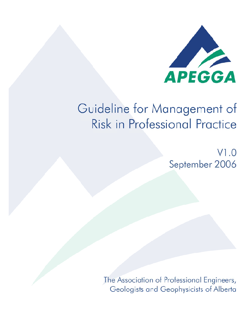

# Guideline for Management of **Risk in Professional Practice**

 $V1.0$ September 2006

The Association of Professional Engineers, Geologists and Geophysicists of Alberta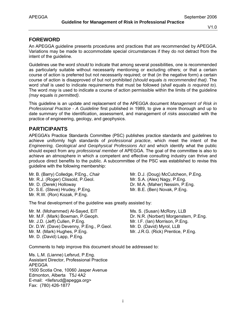# **FOREWORD**

An APEGGA guideline presents procedures and practices that are recommended by APEGGA. Variations may be made to accommodate special circumstances if they do not detract from the intent of the guideline.

Guidelines use the word *should* to indicate that among several possibilities, one is recommended as particularly suitable without necessarily mentioning or excluding others; or that a certain course of action is preferred but not necessarily required; or that (in the negative form) a certain course of action is disapproved of but not prohibited *(should* equals *is recommended that)*. The word *shall* is used to indicate requirements that must be followed (s*hall* equals *is required to*). The word *may* is used to indicate a course of action permissible within the limits of the guideline *(may* equals *is permitted)*.

This guideline is an update and replacement of the APEGGA document *Management of Risk in Professional Practice - A Guideline* first published in 1989, to give a more thorough and up to date summary of the identification, assessment, and management of *risk*s associated with the practice of engineering, geology, and geophysics.

# **PARTICIPANTS**

APEGGA's Practice Standards Committee (PSC) publishes practice standards and guidelines to achieve uniformly high standards of *professional practice*, which meet the intent of the *Engineering, Geological and Geophysical Professions Act* and which identify what the public should expect from any *professional member* of APEGGA. The goal of the committee is also to achieve an atmosphere in which a competent and effective consulting industry can thrive and produce direct benefits to the public. A subcommittee of the PSC was established to revise this guideline with the following membership:

Mr. B. (Barry) Colledge, P.Eng., *Chair* Mr. R.J. (Roger) Clissold, P.Geol. Mr. D. (Derek) Holloway Dr. S.E. (Steve) Hrudey, P.Eng. Mr. R.W. (Ron) Kozak, P.Eng.

Mr. D.J. (Doug) McCutcheon, P.Eng. Mr. S.A. (Alex) Nagy, P.Eng. Dr. M.A. (Maher) Nessim, P.Eng. Mr. B.E. (Ben) Novak, P.Eng.

The final development of the guideline was greatly assisted by:

Mr. M. (Mohammed) Al-Sayed, EIT Mr. M.F. (Mark) Bowman, P.Geoph. Mr. J.D. (Jeff) Cullen, P.Eng. Dr. D.W. (Dave) Devenny, P.Eng., P.Geol. Mr. M. (Mark) Hughes, P.Eng. Mr. D. (David) Lapp, P.Eng.

Ms. S. (Susan) McRory, LLB Dr. N.R. (Norbert) Morgenstern, P.Eng. Mr. I.F. (Ian) Morrison, P.Eng. Mr. D. (David) Myrol, LLB Mr. J.R.G. (Rick) Prentice, P.Eng.

Comments to help improve this document should be addressed to:

Ms. L.M. (Lianne) Lefsrud, P.Eng. Assistant Director, Professional Practice APEGGA 1500 Scotia One, 10060 Jasper Avenue Edmonton, Alberta T5J 4A2 E-mail: <llefsrud@apegga.org> Fax: (780) 426-1877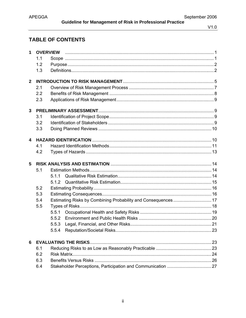# TABLE OF CONTENTS

| 1              |     | <b>OVERVIEW</b>             |  |  |  |  |
|----------------|-----|-----------------------------|--|--|--|--|
|                | 1.1 |                             |  |  |  |  |
|                | 1.2 |                             |  |  |  |  |
|                | 1.3 |                             |  |  |  |  |
| $\overline{2}$ |     |                             |  |  |  |  |
|                | 2.1 |                             |  |  |  |  |
|                | 2.2 |                             |  |  |  |  |
|                | 2.3 |                             |  |  |  |  |
|                |     |                             |  |  |  |  |
| $\mathbf{3}$   |     |                             |  |  |  |  |
|                | 3.1 |                             |  |  |  |  |
|                | 3.2 |                             |  |  |  |  |
|                | 3.3 |                             |  |  |  |  |
| 4              |     |                             |  |  |  |  |
|                | 4.1 |                             |  |  |  |  |
|                | 4.2 |                             |  |  |  |  |
|                |     |                             |  |  |  |  |
|                |     |                             |  |  |  |  |
| 5              |     |                             |  |  |  |  |
|                | 5.1 |                             |  |  |  |  |
|                |     | 511                         |  |  |  |  |
|                |     | 5.1.2                       |  |  |  |  |
|                | 5.2 |                             |  |  |  |  |
|                | 5.3 |                             |  |  |  |  |
|                | 5.4 |                             |  |  |  |  |
|                | 5.5 |                             |  |  |  |  |
|                |     | 5.5.1                       |  |  |  |  |
|                |     | 5.5.2                       |  |  |  |  |
|                |     | 5.5.3                       |  |  |  |  |
|                |     | 5.5.4                       |  |  |  |  |
| 6              |     | <b>EVALUATING THE RISKS</b> |  |  |  |  |
|                | 6.1 |                             |  |  |  |  |
|                | 6.2 |                             |  |  |  |  |
|                | 6.3 |                             |  |  |  |  |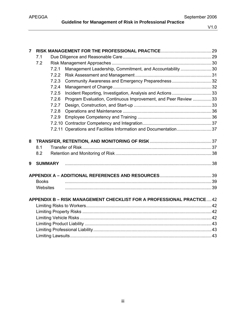| $\overline{7}$ |                |       |                                                                       |  |  |  |  |
|----------------|----------------|-------|-----------------------------------------------------------------------|--|--|--|--|
|                | 7.1            |       |                                                                       |  |  |  |  |
|                | 7.2            |       |                                                                       |  |  |  |  |
|                |                | 7.2.1 | Management Leadership, Commitment, and Accountability 30              |  |  |  |  |
|                |                | 7.2.2 |                                                                       |  |  |  |  |
|                |                | 7.2.3 | Community Awareness and Emergency Preparedness32                      |  |  |  |  |
|                |                | 7.2.4 |                                                                       |  |  |  |  |
|                |                | 7.2.5 |                                                                       |  |  |  |  |
|                |                | 7.2.6 | Program Evaluation, Continuous Improvement, and Peer Review  33       |  |  |  |  |
|                |                | 7.2.7 |                                                                       |  |  |  |  |
|                |                | 7.2.8 |                                                                       |  |  |  |  |
|                |                | 7.2.9 |                                                                       |  |  |  |  |
|                |                |       |                                                                       |  |  |  |  |
|                |                |       | 7.2.11 Operations and Facilities Information and Documentation37      |  |  |  |  |
|                |                |       |                                                                       |  |  |  |  |
| 8              |                |       |                                                                       |  |  |  |  |
|                | 8.1            |       |                                                                       |  |  |  |  |
|                | 8.2            |       |                                                                       |  |  |  |  |
| 9              | <b>SUMMARY</b> |       |                                                                       |  |  |  |  |
|                |                |       |                                                                       |  |  |  |  |
|                |                |       |                                                                       |  |  |  |  |
|                | <b>Books</b>   |       |                                                                       |  |  |  |  |
| Websites       |                |       |                                                                       |  |  |  |  |
|                |                |       |                                                                       |  |  |  |  |
|                |                |       | APPENDIX B - RISK MANAGEMENT CHECKLIST FOR A PROFESSIONAL PRACTICE 42 |  |  |  |  |
|                |                |       |                                                                       |  |  |  |  |
|                |                |       |                                                                       |  |  |  |  |
|                |                |       |                                                                       |  |  |  |  |
|                |                |       |                                                                       |  |  |  |  |
|                |                |       |                                                                       |  |  |  |  |
|                |                |       |                                                                       |  |  |  |  |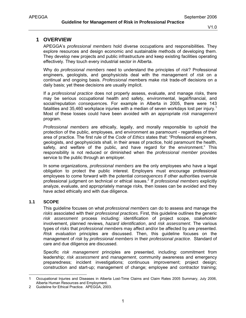# **1 OVERVIEW**

APEGGA's *professional members* hold diverse occupations and responsibilities. They explore resources and design economic and sustainable methods of developing them. They develop new projects and public infrastructure and keep existing facilities operating effectively. They touch every industrial sector in Alberta.

Why do *professional members* need to understand the principles of *risk*? Professional engineers, geologists, and geophysicists deal with the management of *risk* on a continual and ongoing basis. *Professional* members make *risk* trade-off decisions on a daily basis; yet these decisions are usually implicit.

If a *professional practice* does not properly assess, evaluate, and manage *risk*s, there may be serious occupational health and safety, environmental, legal/financial, and social/reputation *consequence*s. For example in Alberta in 2005, there were 143 fatalities and 35,460 workplace injuries with a median of seven workdays lost per injury.<sup>1</sup> Most of these losses could have been avoided with an appropriate *risk management* program.

*Professional members* are ethically, legally, and morally responsible to uphold the protection of the public, employees, and environment as paramount - regardless of their area of practice. The first rule of the *Code of Ethics* states that: "Professional engineers, geologists, and geophysicists shall, in their areas of practice, hold paramount the health, safety, and welfare of the public, and have regard for the environment." This responsibility is not reduced or diminished when the *professional member* provides service to the public through an employer.

In some organizations, *professional members* are the only employees who have a legal obligation to protect the public interest. Employers must encourage professional employees to come forward with the potential *consequences* if other authorities overrule professional judgment on technical or ethical issues.<sup>2</sup> If *professional members* explicitly analyze, evaluate, and appropriately manage *risk*s*,* then losses can be avoided and they have acted ethically and with due diligence.

# **1.1 SCOPE**

This guideline focuses on what *professional members* can do to assess and manage the *risks* associated with their *professional practices.* First, this guideline outlines the generic *risk assessment* process including: identification of project scope, *stakeholder* involvement, planned reviews, *hazard identification*, and *risk assessment*. The various types of *risks* that *professional member*s may affect and/or be affected by are presented. *Risk evaluation* principles are discussed. Then, this guideline focuses on the management of *risk* by *professional members* in their *professional practice*. Standard of care and due diligence are discussed.

Specific *risk management* principles are presented, including: commitment from leadership; *risk assessment* and *management*, community awareness and emergency preparedness; incident investigations; continuous improvement; project design; construction and start-up; management of change; employee and contractor training;

 $\overline{a}$ 1 Occupational Injuries and Diseases in Alberta Lost-Time Claims and Claim Rates 2005 Summary, July 2006, Alberta Human Resources and Employment.

<sup>2</sup> Guideline for Ethical Practice. APEGGA, 2003.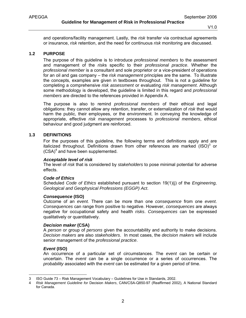and operations/facility management. Lastly, the *risk* transfer via contractual agreements or insurance, *risk* retention, and the need for continuous *risk* monitoring are discussed.

#### **1.2 PURPOSE**

The purpose of this guideline is to introduce *professional members* to the assessment and management of the *risk*s specific to their *professional practice*. Whether the *professional member* is a consultant and sole proprietor or a vice-president of operations for an oil and gas company – the *risk management* principles are the same. To illustrate the concepts, examples are given in textboxes throughout. This is not a guideline for completing a comprehensive *risk assessment* or evaluating *risk management*. Although some methodology is developed, the guideline is limited in this regard and *professional members* are directed to the references provided in Appendix A.

The purpose is also to remind *professional members* of their ethical and legal obligations: they cannot allow any retention, transfer, or externalization of *risk* that would harm the public, their employees, or the environment. In conveying the knowledge of appropriate, effective *risk management* processes to *professional members*, ethical behaviour and good judgment are reinforced.

#### **1.3 DEFINITIONS**

For the purposes of this guideline, the following terms and definitions apply and are italicized throughout. Definitions drawn from other references are marked  $(ISO)^3$  or (CSA)<sup>4</sup> and have been supplemented.

#### *Acceptable level of risk*

The level of *risk* that is considered by *stakeholders* to pose minimal potential for adverse effects.

#### *Code of Ethics*

Scheduled *Code of Ethics* established pursuant to section 19(1)(j) of the *Engineering, Geological and Geophysical Professions (EGGP) Act*.

#### *Consequence* **(ISO)**

Outcome of an *event.* There can be more than one *consequence* from one *event*. *Consequences* can range from positive to negative. However, *consequences* are always negative for occupational safety and health *risks*. *Consequences* can be expressed qualitatively or quantitatively.

#### *Decision maker* **(CSA)**

A *person* or group of *persons* given the accountability and authority to make decisions. *Decision makers* are also *stakeholders*. In most cases, the *decision makers* will include senior management of the *professional practice*.

#### *Event* **(ISO)**

 $\overline{a}$ 

An occurrence of a particular set of circumstances. The *event* can be certain or uncertain. The *event* can be a single occurrence or a series of occurrences. The *probability* associated with the *event* can be estimated for a given period of time.

<sup>3</sup> ISO Guide 73 – Risk Management Vocabulary – Guidelines for Use in Standards, 2002.

<sup>4</sup> *Risk Management Guideline for* Decision *Makers*, CAN/CSA-Q850-97 (Reaffirmed 2002), A National Standard for Canada.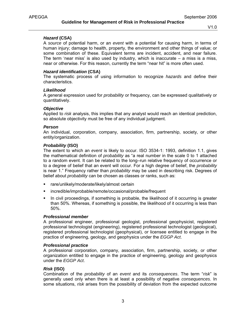#### *Hazard* **(CSA)**

A *source* of potential harm, or an *event* with a potential for causing harm, in terms of human injury; damage to health, property, the environment and other things of value; or some combination of these. Equivalent terms are incident, accident, and near failure. The term 'near miss' is also used by industry, which is inaccurate – a miss is a miss, near or otherwise. For this reason, currently the term "near hit" is more often used.

## *Hazard identification* **(CSA)**

The systematic process of using information to recognize *hazards* and define their characteristics.

#### *Likelihood*

A general expression used for *probability* or frequency, can be expressed qualitatively or quantitatively.

#### *Objective*

Applied to *risk* analysis, this implies that any analyst would reach an identical prediction, so absolute objectivity must be free of any individual judgment.

#### *Person*

An individual, corporation, company, association, firm, partnership, society, or other entity/organization.

#### *Probability* **(ISO)**

The extent to which an *event* is likely to occur. ISO 3534-1: 1993, definition 1.1, gives the mathematical definition of *probability* as "a real number in the scale 0 to 1 attached to a random event. It can be related to the long–run relative frequency of occurrence or to a degree of belief that an event will occur. For a high degree of belief, the *probability* is near 1." Frequency rather than *probability* may be used in describing risk. Degrees of belief about *probability* can be chosen as classes or ranks, such as:

- rare/unlikely/moderate/likely/almost certain
- incredible/improbable/remote/occasional/probable/frequent
- In civil proceedings, if something is probable, the likelihood of it occurring is greater than 50%. Whereas, if something is possible, the likelihood of it occurring is less than 50%.

#### *Professional member*

A professional engineer, professional geologist, professional geophysicist, registered professional technologist (engineering), registered professional technologist (geological), registered professional technologist (geophysical), or licensee entitled to engage in the practice of engineering, geology, and geophysics under the *EGGP Act*.

#### *Professional practice*

A professional corporation, company, association, firm, partnership, society, or other organization entitled to engage in the practice of engineering, geology and geophysics under the *EGGP Act*.

#### *Risk* **(ISO)**

Combination of the *probability* of an *event* and its *consequences*. The term "*risk*" is generally used only when there is at least a possibility of negative *consequences*. In some situations, *risk* arises from the possibility of deviation from the expected outcome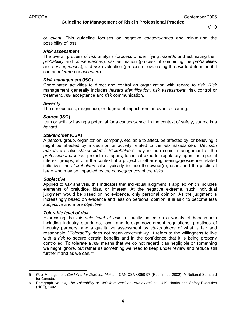**Guideline for Management of Risk in Professional Practice** 

V1.0

or *event*. This guideline focuses on negative *consequences* and minimizing the possibility of loss.

#### *Risk assessment*

The overall process of *risk* analysis (process of identifying *hazards* and estimating their *probability* and *consequences*), *risk* estimation (process of combining the *probabilities* and *consequences*), and *risk* evaluation (process of evaluating the *risk* to determine if it can be *tolerated* or *accepted*).

#### *Risk management* **(ISO)**

Coordinated activities to direct and control an organization with regard to *risk*. *Risk* management generally includes *hazard identification*, *risk assessment*, risk control or treatment, *risk* acceptance and *risk* communication.

#### *Severity*

The seriousness, magnitude, or degree of impact from an event occurring.

#### *Source* **(ISO)**

Item or activity having a potential for a *consequence*. In the context of safety, *source* is a *hazard*.

#### *Stakeholder* **(CSA)**

A *person*, group, organization, company, etc. able to affect, be affected by, or believing it might be affected by a decision or activity related to the *risk assessment*. *Decision makers* are also *stakeholders*. <sup>5</sup> *Stakeholders* may include senior management of the *professional practice*, project managers, technical experts, regulatory agencies, special interest groups, etc. In the context of a project or other engineering/geoscience related initiatives the *stakeholders* also typically include the owner(s), users and the public at large who may be impacted by the *consequences* of the *risks*.

#### *Subjective*

-

Applied to *risk* analysis, this indicates that individual judgment is applied which includes elements of prejudice, bias, or interest. At the negative extreme, such individual judgment would be based on no evidence, only personal opinion. As the judgment is increasingly based on evidence and less on personal opinion, it is said to become less *subjective* and more *objective*.

#### *Tolerable level of risk*

Expressing the *tolerable level of risk* is usually based on a variety of benchmarks including industry standards, local and foreign government regulations, practices of industry partners, and a qualitative assessment by *stakeholders* of what is fair and reasonable. "*Tolerability* does not mean *acceptability*. It refers to the willingness to live with a *risk* to secure certain benefits and in the confidence that it is being properly controlled. To tolerate a *risk* means that we do not regard it as negligible or something we might ignore, but rather as something we need to keep under review and reduce still further if and as we can."<sup>6</sup>

<sup>5</sup> *Risk* Management *Guideline for Decision Makers*, CAN/CSA-Q850-97 (Reaffirmed 2002), A National Standard for Canada.

<sup>6</sup> Paragraph No. 10, *The Tolerability of Risk from Nuclear Power Stations* U.K. Health and Safety Executive (HSE), 1992.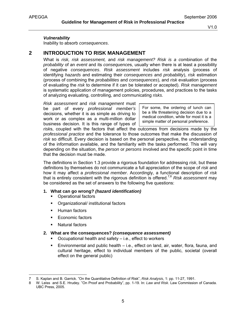#### *Vulnerability*

Inability to absorb *consequences*.

# **2 INTRODUCTION TO RISK MANAGEMENT**

What is *risk, risk assessment,* and *risk management? Risk is a c*ombination of the *probability* of an *event* and its *consequence*s, usually when there is at least a possibility of negative *consequences*. *Risk assessment* includes *risk* analysis (process of identifying *hazards* and estimating their *consequences* and *probability*), *risk* estimation (process of combining the *probabilities* and *consequences*), and *risk* evaluation (process of evaluating the *risk* to determine if it can be tolerated or accepted). *Risk management* is systematic application of management policies, procedures, and practices to the tasks of analyzing evaluating, controlling, and communicating *risks.*

*Risk assessment* and *risk management* must be part of every *professional member's* decisions, whether it is as simple as driving to work or as complex as a multi-million dollar business decision. It is this range of types of

For some, the ordering of lunch can be a life threatening decision due to a medical condition, while for most it is a simple matter of personal preference.

*risk*s, coupled with the factors that affect the outcomes from decisions made by the *professional practice* and the tolerance to those outcomes that make the discussion of *risk* so difficult. Every decision is based on the personal perspective, the understanding of the information available, and the familiarity with the tasks performed. This will vary depending on the situation, the *person* or *persons* involved and the specific point in time that the decision must be made.

The definitions in Section 1.3 provide a rigorous foundation for addressing *risk*, but these definitions by themselves do not communicate a full appreciation of the scope of *risk* and how it may affect a *professional member*. Accordingly, a functional description of *risk* that is entirely consistent with the rigorous definition is offered.7,8 *Risk assessment* may be considered as the set of answers to the following five questions:

# **1. What can go wrong?** *(hazard identification)*

- Operational factors
- **•** Organizational/ institutional factors
- **Human factors**
- **Economic factors**
- Natural factors

 $\overline{a}$ 

#### **2. What are the consequences?** *(consequence assessment)*

- Occupational health and safety i.e., effect to workers
- Environmental and public health i.e., effect on land, air, water, flora, fauna, and cultural heritage, effect to individual members of the public, societal (overall effect on the general public)

<sup>7</sup> S. Kaplan and B. Garrick. "On the Quantitative Definition of Risk", *Risk Analysis*, 1: pp. 11-27, 1991.

<sup>8</sup> W. Leiss and S.E. Hrudey. "On Proof and Probability", pp. 1-19. In: *Law and Risk*. Law Commission of Canada. UBC Press, 2005.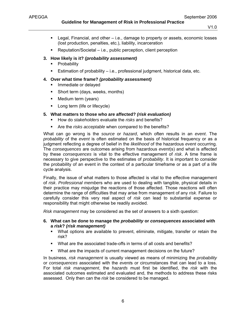**Guideline for Management of Risk in Professional Practice** 

- **Legal, Financial, and other i.e., damage to property or assets, economic losses** (lost production, penalties, etc.), liability, incarceration
- Reputation/Societal i.e., public perception, client perception

## **3. How likely is it?** *(probability assessment)*

- Probability
- **Estimation of probability i.e., professional judgment, historical data, etc.**

# **4. Over what time frame?** *(probability assessment)*

- Immediate or delayed
- Short term (days, weeks, months)
- Medium term (years)
- **-** Long term (life or lifecycle)

# **5. What matters to those who are affected?** *(risk evaluation)*

- How do *stakeholders* evaluate the *risks* and benefits?
- Are the *risks acceptable* when compared to the benefits?

What can go wrong is the *source* or *hazard*, which often results in an *event*. The *probability* of the *event* is often estimated on the basis of historical frequency or as a judgment reflecting a degree of belief in the *likelihood* of the hazardous *event* occurring. The *consequences* are outcomes arising from hazardous *event*(s) and what is affected by these *consequences* is vital to the effective management of *risk*. A time frame is necessary to give perspective to the estimates of *probability*. It is important to consider the probability of an event in the context of a particular timeframe or as a part of a life cycle analysis.

Finally, the issue of what matters to those affected is vital to the effective management of *risk*. *Professional member*s who are used to dealing with tangible, physical details in their practice may misjudge the reactions of those affected. Those reactions will often determine the range of difficulties that may arise from management of any *risk*. Failure to carefully consider this very real aspect of *risk* can lead to substantial expense or responsibility that might otherwise be readily avoided.

*Risk management* may be considered as the set of answers to a sixth question:

- **6. What can be done to manage the** *probability* **or** *consequences* **associated with a** *risk***?** *(risk management)*
	- What options are available to prevent, eliminate, mitigate, transfer or retain the risk?
	- What are the associated trade-offs in terms of all costs and benefits?
	- What are the impacts of current management decisions on the future?

In business, *risk management* is usually viewed as means of minimizing the *probability* or *consequences* associated with the *event*s or circumstances that can lead to a loss. For total *risk management*, the *hazards* must first be identified, the *risk* with the associated outcomes estimated and evaluated and, the methods to address these risks assessed. Only then can the *risk* be considered to be managed.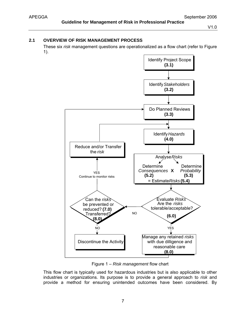# **2.1 OVERVIEW OF RISK MANAGEMENT PROCESS**

These six *risk* management questions are operationalized as a flow chart (refer to Figure 1).



Figure 1 – *Risk management* flow chart

This flow chart is typically used for hazardous industries but is also applicable to other industries or organizations. Its purpose is to provide a general approach to *risk* and provide a method for ensuring unintended outcomes have been considered. By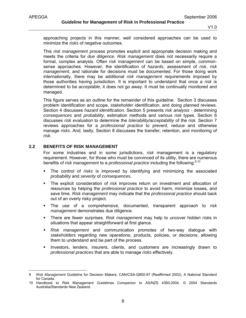-

V1.0

approaching projects in this manner, well considered approaches can be used to minimize the *risks* of negative outcomes.

This *risk management* process promotes explicit and appropriate decision making and meets the criteria for *due diligence*. *Risk management* does not necessarily require a formal, complex analysis. Often *risk management* can be based on simple, commonsense approaches. However, the identification of *hazards*, assessment of *risk*, *risk management*, and rationale for decisions must be documented. For those doing work internationally, there may be additional *risk management* requirements imposed by those authorities having jurisdiction. It is important to understand that once a *risk* is determined to be *acceptable*, it does not go away. It must be continually monitored and managed.

This figure serves as an outline for the remainder of this guideline. Section 3 discusses problem identification and scope, *stakeholder* identification, and doing planned reviews. Section 4 discusses *hazard identification.* Section 5 presents *risk analysis -* determining *consequences* and *probability,* estimation methods and various *risk* types. Section 6 discusses *risk evaluation* to determine the *tolerability/acceptability* of the *risk.* Section 7 reviews approaches for a *professional practice* to prevent, reduce and otherwise manage *risks*. And, lastly, Section 8 discusses the transfer, retention, and monitoring of *risk*.

#### **2.2 BENEFITS OF RISK MANAGEMENT**

For some industries and in some jurisdictions, *risk* management is a regulatory requirement. However, for those who must be convinced of its utility, there are numerous benefits of *risk management* to a *professional practice* including the following:<sup>9,10</sup>

- The control of *risks* is improved by identifying and minimizing the associated *probability* and *severity* of *consequences*.
- The explicit consideration of *risk* improves return on investment and allocation of resources by helping the *professional practice* to avoid harm, minimize losses, and save time. *Risk management* may indicate that the *professional practice* should back out of an overly risky project.
- The use of a comprehensive, documented, transparent approach to *risk management* demonstrates due diligence.
- There are fewer surprises. *Risk management* may help to uncover hidden *risk*s in situations that appear straightforward at first glance.
- *Risk management* and communication promotes of two-way dialogue with *stakeholders* regarding new operations, products, policies, or decisions; allowing them to understand and be part of the process.
- **Investors, lenders, insurers, clients, and customers are increasingly drawn to** *professional practices* that are able to manage *risks* effectively.

<sup>9</sup> *Risk Management* Guideline for Decision Makers, CAN/CSA-Q850-97 (Reaffirmed 2002), A National Standard for Canada.

<sup>10</sup> Handbook to Risk Management Guidelines Companion to AS/NZS 4360:2004. © 2004 Standards Australia/Standards New Zealand.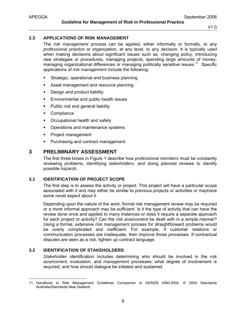# **2.3 APPLICATIONS OF RISK MANAGEMENT**

The *risk management* process can be applied, either informally or formally, to any *professional practice* or organization, at any level, to any decision. It is typically used when making decisions about significant issues such as: changing policy, introducing new strategies or procedures, managing projects, spending large amounts of money, managing organizational differences or managing politically sensitive issues.<sup>11</sup> Specific applications of *risk management* include the following:

- **Strategic, operational and business planning**
- **Asset management and resource planning**
- **-** Design and product liability
- **Environmental and public health issues**
- **Public risk and general liability**
- **Compliance**
- Occupational health and safety
- Operations and maintenance systems
- **Project management**
- **Purchasing and contract management**

# **3 PRELIMINARY ASSESSMENT**

The first three boxes in Figure 1 describe how *professional members* must be constantly reviewing problems, identifying *stakeholders,* and doing planned reviews to identify possible *hazards*.

## **3.1 IDENTIFICATION OF PROJECT SCOPE**

The first step is to assess the activity or project. This project will have a particular scope associated with it and may either be similar to previous projects or activities or mayhave some novel aspect about it.

Depending upon the nature of the work, formal risk management review may be required or a more informal approach may be sufficient. Is it the type of activity that can have the review done once and applied to many instances or does it require a separate approach for each project or activity? Can the *risk assessment* be dealt with in a simple manner? Using a formal, extensive *risk management* process for straightforward problems would be overly complicated and inefficient. For example, if customer relations or communication processes are inadequate, then improve those processes. If contractual disputes are seen as a *risk*, tighten up contract language.

# **3.2 IDENTIFICATION OF STAKEHOLDERS**

-

*Stakeholder* identification includes determining who should be involved in the *risk assessment, evaluation,* and *management* processes; what degree of involvement is required; and how should dialogue be initiated and sustained.

<sup>11</sup> Handbook to Risk Management Guidelines Companion to AS/NZS 4360:2004. © 2004 Standards Australia/Standards New Zealand.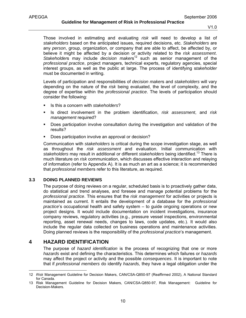Those involved in estimating and evaluating *risk* will need to develop a list of *stakeholders* based on the anticipated issues, required decisions, etc. *Stakeholders* are any *person*, group, organization, or company that are able to affect, be affected by, or believe it might be affected by a decision or activity related to the *risk assessment*. *Stakeholders* may include *decision makers*<sup>12</sup> such as senior management of the *professional practice*, project managers, technical experts, regulatory agencies, special interest groups, as well as the public at large. The process of identifying s*takeholder* must be documented in writing.

Levels of participation and responsibilities of *decision maker*s and *stakeholders* will vary depending on the nature of the *risk* being evaluated, the level of complexity, and the degree of expertise within the *professional practice*. The levels of participation should consider the following:

- Is this a concern with *stakeholders*?
- Is direct involvement in the problem identification, *risk assessment*, and *risk management* required?
- Does participation involve consultation during the investigation and validation of the results?
- Does participation involve an approval or decision?

Communication with *stakeholders* is critical during the scope investigation stage, as well as throughout the *risk assessment* and evaluation. Initial communication with *stakeholders* may result in additional or different *stakeholders* being identified.13 There is much literature on *risk* communication, which discusses effective interaction and relaying of information (refer to Appendix A). It is as much an art as a science; it is recommended that *professional member*s refer to this literature, as required.

# **3.3 DOING PLANNED REVIEWS**

The purpose of doing reviews on a regular, scheduled basis is to proactively gather data, do statistical and trend analyses, and foresee and manage potential problems for the *professional practice*. This ensures that the *risk management* for activities or projects is maintained as current. It entails the development of a database for the *professional practice*'s occupational health and safety system – to guide ongoing operations or new project designs. It would include documentation on incident investigations, insurance company reviews, regulatory activities (e.g., pressure vessel inspections, environmental reporting, asset renewal needs, changes to laws, code updates, etc.). It would also include the regular data collected on business operations and maintenance activities. Doing planned reviews is the responsibility of the *professional practice*'s management.

# **4 HAZARD IDENTIFICATION**

-

The purpose of *hazard identification* is the process of recognizing that one or more *hazards* exist and defining the characteristics. This determines which failures or *hazards* may affect the project or activity and the possible *consequences*. It is important to note that if *professional members* do identify *hazards,* they have a legal obligation under the

<sup>12</sup> *Risk* Management Guideline for Decision Makers, CAN/CSA-Q850-97 (Reaffirmed 2002), A National Standard for Canada.

<sup>13</sup> Risk Management Guideline for Decision Makers, CAN/CSA-Q850-97, Risk Management: Guideline for Decision-Makers.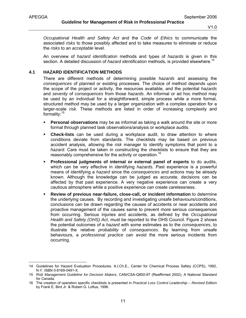*Occupational Health and Safety Act* and the *Code of Ethics* to communicate the associated *risks* to those possibly affected and to take measures to eliminate or reduce the *risks* to an *acceptable* level.

An overview of *hazard identification* methods and types of *hazards* is given in this section. A detailed discussion of *hazard identification* methods, is provided elsewhere.<sup>14</sup>

## **4.1 HAZARD IDENTIFICATION METHODS**

There are different methods of determining possible *hazards* and assessing the *consequences* of planned or existing processes. The choice of method depends upon the scope of the project or activity, the resources available, and the potential *hazards* and *severity* of *consequences* from those *hazards*. An informal or ad hoc method may be used by an individual for a straightforward, simple process while a more formal, structured method may be used by a larger organization with a complex operation for a larger-scale *risk*. These methods are listed in order of increasing complexity and formality:<sup>15</sup>

- **Personal observations** may be as informal as taking a walk around the site or more formal through planned task observations/analysis or workplace audits.
- **Check-lists** can be used during a workplace audit, to draw attention to where conditions deviate from standards. The checklists may be based on previous accident analysis, allowing the *risk* manager to identify symptoms that point to a *hazard*. Care must be taken in constructing the checklists to ensure that they are reasonably comprehensive for the activity or operation.<sup>16</sup>
- **Professional judgments of internal or external panel of experts** to do audits, which can be very effective in identifying *hazards*. Past experience is a powerful means of identifying a *hazard* since the *consequences* and actions may be already known. Although the knowledge can be judged as accurate, decisions can be affected by that past experience. A very negative experience can create a very cautious atmosphere while a positive experience can create carelessness.
- **Review of previous near-failure, close-call, or incident information** to determine the underlying causes. By recording and investigating unsafe behaviours/conditions, conclusions can be drawn regarding the causes of accidents or near accidents and proactive management of the causes same to prevent more serious consequences from occurring. Serious injuries and accidents, as defined by the *Occupational Health and Safety (OHS) Act*, must be reported to the OHS Council. Figure 2 shows the potential outcomes of a *hazard* with some estimates as to the *consequences*, to illustrate the relative *probability* of *consequences*. By learning from unsafe behaviours, a *professional practice* can avoid the more serious incidents from occurring.

<sup>14</sup> Guidelines for Hazard Evaluation Procedures. A.I.Ch.E., Center for Chemical Process Safety (CCPS), 1992, N.Y. ISBN 0-8169-0491-X.

<sup>15</sup> *Risk Management Guideline for Decision Makers*, CAN/CSA-Q850-97 (Reaffirmed 2002), A National Standard for Canada.

<sup>16</sup> The creation of operation specific checklists is presented in *Practical Loss Control Leadership – Revised Edition*  by Frank E. Bird Jr. & Robert G. Loftus, 1996.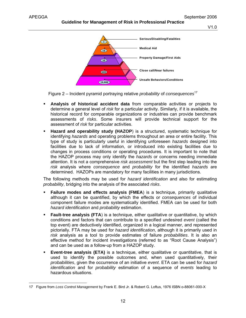#### **Guideline for Management of Risk in Professional Practice**

V1.0



Figure 2 – Incident pyramid portraying relative *probability* of *consequences*<sup>17</sup>

- **Analysis of historical accident data** from comparable activities or projects to determine a general level of *risk* for a particular activity. Similarly, if it is available, the historical record for comparable organizations or industries can provide benchmark assessments of *risks*. Some insurers will provide technical support for the assessment of *risk* for particular activities.
- **Hazard and operability study (HAZOP**) is a structured, systematic technique for identifying *hazards* and operating problems throughout an area or entire facility. This type of study is particularly useful in identifying unforeseen *hazards* designed into facilities due to lack of information, or introduced into existing facilities due to changes in process conditions or operating procedures. It is important to note that the HAZOP process may only identify the *hazards* or concerns needing immediate attention. It is not a comprehensive *risk assessment* but the first step leading into the *risk* analysis where *consequence* and *probability* for the identified *hazards* are determined. HAZOPs are mandatory for many facilities in many jurisdictions.

The following methods may be used for *hazard identification* and also for estimating *probability*, bridging into the analysis of the associated *risks*.

- **Failure modes and effects analysis (FMEA**) is a technique, primarily qualitative although it can be quantified, by which the effects or *consequences* of individual component failure modes are systematically identified. FMEA can be used for both *hazard identification* and *probability* estimation.
- **Fault-tree analysis (FTA)** is a technique, either qualitative or quantitative, by which conditions and factors that can contribute to a specified undesired *event* (called the top event) are deductively identified, organized in a logical manner, and represented pictorially. FTA may be used for *hazard identification*, although it is primarily used in *risk* analysis as a tool to provide estimates of failure *probabilities*. It is also an effective method for incident investigations (referred to as "Root Cause Analysis") and can be used as a follow-up from a HAZOP study.
- **Event-tree analysis (ETA)** is a technique, either qualitative or quantitative, that is used to identify the possible outcomes and, when used quantitatively, their *probabilities*, given the occurrence of an initiative *event*. ETA can be used for *hazard identification* and for *probability* estimation of a sequence of *events* leading to hazardous situations.

<sup>-</sup>17 Figure from *Loss Control Management* by Frank E. Bird Jr. & Robert G. Loftus, 1976 ISBN o-88061-000-X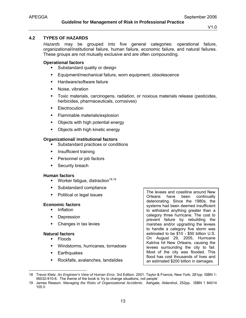# **4.2 TYPES OF HAZARDS**

*Hazards* may be grouped into five general categories: operational failure, organizational/institutional failure, human failure, economic failure, and natural failures. These groups are not mutually exclusive and are often compounding.

# **Operational factors**

- **Substandard quality or design**
- **Equipment/mechanical failure, worn equipment, obsolescence**
- **Hardware/software failure**
- **Noise**, vibration
- Toxic materials, carcinogens, radiation, or noxious materials release (pesticides, herbicides, pharmaceuticals, corrosives)
- **Electrocution**
- Flammable materials/explosion
- Objects with high potential energy
- Objects with high kinetic energy

# **Organizational/ institutional factors**

- Substandard practices or conditions
- **Insufficient training**
- **Personnel or job factors**
- **Security breach**

# **Human factors**

- **Worker fatigue, distraction**<sup>18,19</sup>
- **Substandard compliance**
- Political or legal issues

# **Economic factors**

- **Inflation**
- **Depression**
- Changes in tax levies

# **Natural factors**

- Floods
- Windstorms, hurricanes, tornadoes
- **Earthquakes**
- **Rockfalls, avalanches, landslides**

The levees and coastline around New Orleans have been continually deteriorating. Since the 1980s, the systems had been deemed insufficient to withstand anything greater than a category three hurricane. The cost to prevent failure by rebuilding the marshes and/or upgrading the levees to handle a category five storm was estimated to be \$10 - \$50 billion U.S. On August 29, 2005, Hurricane Katrina hit New Orleans, causing the levees surrounding the city to fail. Most of the city was flooded. This flood has cost thousands of lives and an estimated \$200 billion in damages.

<sup>-</sup>18 Trevor Kletz. *An Engineer's View of Human Error,* 3rd Edition. 2001. Taylor & Francis, New York, 281pp. ISBN 1- 56032-910-6. The theme of the book is 'try to change situations, not people'

<sup>19</sup> James Reason. *Managing the Risks of Organizational Accidents*. Ashgate, Aldershot, 252pp. ISBN 1 84014 105 0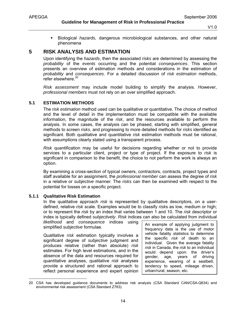#### **Guideline for Management of Risk in Professional Practice**

V1.0

 Biological *hazards,* dangerous microbiological substances, and other natural phenomena

# **5 RISK ANALYSIS AND ESTIMATION**

Upon identifying the *hazards*, then the associated *risks* are determined by assessing the *probability* of the *events* occurring and the potential *consequences*. This section presents an overview of estimation methods and considerations in the estimation of *probability* and *consequences*. For a detailed discussion of *risk estimation* methods, refer elsewhere.<sup>20</sup>

*Risk assessment* may include model building to simplify the analysis. However, *professional members* must not rely on an over simplified approach.

# **5.1 ESTIMATION METHODS**

The *risk estimation* method used can be qualitative or quantitative. The choice of method and the level of detail in the implementation must be compatible with the available information, the magnitude of the *risk*, and the resources available to perform the analysis. In some cases, the analysis can be phased, starting with simplified, general methods to screen *risks*, and progressing to more detailed methods for *risks* identified as significant. Both qualitative and quantitative *risk* estimation methods must be rational, with assumptions clearly stated using a transparent process.

*Risk* quantification may be useful for decisions regarding whether or not to provide services to a particular client, project or type of project. If the exposure to *risk* is significant in comparison to the benefit, the choice to not perform the work is always an option.

By examining a cross-section of typical owners, contractors, contracts, project types and staff available for an assignment, the *professional member* can assess the degree of *risk* in a relative or *subjective* manner. The *risks* can then be examined with respect to the potential for losses on a specific project.

# **5.1.1 Qualitative Risk Estimation**

In the qualitative approach *risk* is represented by qualitative descriptors, on a userdefined, relative *risk* scale. Examples would be to classify *risk*s as low, medium or high; or to represent the *risk* by an index that varies between 1 and 10. The *risk* descriptor or index is typically defined *subjectively*. *Risk* indices can also be calculated from individual

*likelihood* and *consequence* indices using simplified *subjective* formulae.

Qualitative *risk* estimation typically involves a significant degree of *subjective* judgment and produces relative (rather than absolute) *risk* estimates. For high level estimations, and in the absence of the data and resources required for quantitative analyses, qualitative *risk* analyses provide a structured and rational approach to reflect personal experience and expert opinion An example of applying judgment to frequency data is the use of motor vehicle fatality statistics to determine the specific *risk* of death to an individual. Given the average fatality *risk* in Canada, the *risk* to an individual would depend upon: the driver's gender, age, years of driving experience, wearing of a seatbelt, tendency to speed, mileage driven, urban/rural, season, etc.

<sup>20</sup> CSA has developed guidance documents to address risk analysis (CSA Standard CAN/CSA-Q634) and environmental risk assessment (CSA Standard Z763).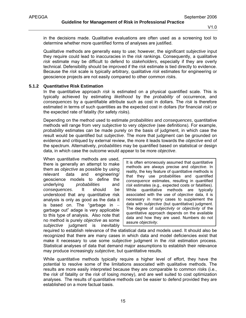in the decisions made. Qualitative evaluations are often used as a screening tool to determine whether more quantified forms of analyses are justified.

Qualitative methods are generally easy to use; however, the significant *subjective* input they require could lead to inaccuracies in the *risk* rankings. Consequently, a qualitative *risk* estimate may be difficult to defend to *stakeholders*, especially if they are overly technical. Defensibility should be improved if the *risk* estimate is tied directly to evidence. Because the *risk* scale is typically arbitrary, qualitative *risk* estimates for engineering or geoscience projects are not easily compared to other common *risk*s.

#### **5.1.2 Quantitative Risk Estimation**

In the quantitative approach *risk* is estimated on a physical quantified scale. This is typically achieved by estimating *likelihood* by the *probability* of occurrence, and *consequences* by a quantifiable attribute such as cost in dollars. The *risk* is therefore estimated in terms of such quantities as the expected cost in dollars (for financial *risk*) or the expected rate of fatality (for safety *risk*s).

Depending on the method used to estimate *probabilities* and *consequences*, quantitative methods will range from very *subjective* to very *objective* (see definitions). For example, *probability* estimates can be made purely on the basis of judgment, in which case the result would be quantified but *subjective*. The more that judgment can be grounded on evidence and critiqued by external review, the more it leads towards the *objective* end of the spectrum. Alternatively, *probabilities* may be quantified based on statistical or design data, in which case the outcome would appear to be more *objective*.

When quantitative methods are used, there is generally an attempt to make them as *objective* as possible by using relevant data and engineering/ geoscience models to define the underlying *probabilities* and *consequences*. It should be understood that any quantitative risk analysis is only as good as the data it is based on. The "garbage in − garbage out" adage is very applicable to this type of analysis. Also note that no method is purely *objective* as some *subjective* judgment is inevitably

It is often erroneously assumed that quantitative methods are always precise and *objective*. In reality, the key feature of quantitative methods is that they use probabilities and quantified *consequence* estimates, resulting in quantified *risk* estimates (e.g., expected costs or fatalities). While quantitative methods are typically associated with the use of *objective* data, it is necessary in many cases to supplement the data with *subjective* (but quantitative) judgment. The degree of *subjectivity* or *objectivity* of the quantitative approach depends on the available data and how they are used. Numbers do not assure *objectivity*.

required to establish relevance of the statistical data and models used. It should also be recognized that there are many cases in which data and model deficiencies exist that make it necessary to use some *subjective* judgment in the *risk* estimation process. Statistical analyses of data that demand major assumptions to establish their relevance may produce increasingly *subjective*, but quantitative results.

While quantitative methods typically require a higher level of effort, they have the potential to resolve some of the limitations associated with qualitative methods. The results are more easily interpreted because they are comparable to common *risk*s (i.e., the *risk* of fatality or the *risk* of losing money), and are well suited to cost optimization analyses. The results of quantitative methods can be easier to defend provided they are established on a more factual basis.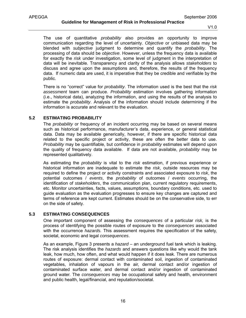The use of quantitative *probability* also provides an opportunity to improve communication regarding the level of uncertainty. *Objective* or unbiased data may be blended with *subjective* judgment to determine and quantify the *probability*. The processing of data should be *objective*. However, unless the frequency data is available for exactly the *risk* under investigation, some level of judgment in the interpretation of data will be inevitable. Transparency and clarity of the analysis allows *stakeholders* to discuss and agree upon the assumptions and, therefore, the results of the frequency data. If numeric data are used, it is imperative that they be credible and verifiable by the public.

There is no "correct" value for *probability*. The information used is the best that the *risk assessment* team can produce. *Probability* estimation involves gathering information (i.e., historical data), analyzing the information, and using the results of the analysis to estimate the *probability*. Analysis of the information should include determining if the information is accurate and relevant to the evaluation.

# **5.2 ESTIMATING PROBABILITY**

The *probability* or frequency of an incident occurring may be based on several means such as historical performance, manufacturer's data, experience, or general statistical data. Data may be available generically, however, if there are specific historical data related to the specific project or activity, these are often the better data to use. *Probability* may be quantifiable, but confidence in *probability* estimates will depend upon the quality of frequency data available. If data are not available, *probability* may be represented qualitatively.

As estimating the *probability* is vital to the *risk* estimation, if previous experience or historical information are inadequate to estimate the *risk*, outside resources may be required to define the project or activity constraints and associated exposure to *risk*, the potential outcomes / *events*, the *probability* of outcomes / *events* occurring, the identification of *stakeholders*, the communication plan, current regulatory requirements, etc. Monitor uncertainties, facts, values, assumptions, boundary conditions, etc. used to guide evaluation as the evaluation progresses to ensure key changes are captured and terms of reference are kept current. Estimates should be on the conservative side, to err on the side of safety.

# **5.3 ESTIMATING CONSEQUENCES**

One important component of assessing the *consequences* of a particular *risk,* is the process of identifying the possible routes of exposure to the *consequences* associated with the occurrence *hazards.* This assessment requires the specification of the safety, societal, economic and legal *consequences*.

As an example, Figure 3 presents a *hazard* – an underground fuel tank which is leaking. The risk analysis identifies the *hazards* and answers questions like why would the tank leak, how much, how often, and what would happen if it does leak. There are numerous routes of exposure: dermal contact with contaminated soil, ingestion of contaminated vegetables, inhalation of vapours in the air, dermal contact and/or ingestion of contaminated surface water, and dermal contact and/or ingestion of contaminated ground water. The *consequences* may be occupational safety and health, environment and public health, legal/financial, and reputation/societal.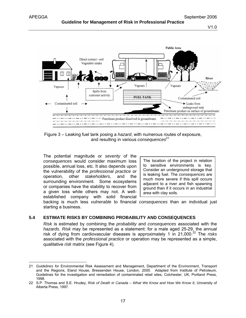

Figure 3 – Leaking fuel tank posing a *hazard*, with numerous routes of exposure, and resulting in various *consequences*<sup>21</sup>

The potential magnitude or *severity* of the *consequences* would consider maximum loss possible, annual loss, etc. It also depends upon the vulnerability of the *professional practice* or operation, other *stakeholders*, and the surrounding environment. Some ecosystems or companies have the stability to recover from a given loss while others may not. A wellestablished company with solid financial

The location of the project in relation to sensitive environments is key. Consider an underground storage that is leaking fuel. The *consequences* are much more severe if this spill occurs adjacent to a river and fish spawning ground than if it occurs in an industrial area with clay soils.

backing is much less *vulnerable* to financial *consequences* than an individual just starting a business.

# **5.4 ESTIMATE RISKS BY COMBINING PROBABILITY AND CONSEQUENCES**

*Risk* is estimated by combining the *probability* and *consequences* associated with the *hazards*. *Risk* may be represented as a statement: for a male aged 25-29, the annual risk of dying from cardiovascular diseases is approximately 1 in 21,000.<sup>22</sup> The *risks* associated with the *professional practice* or operation may be represented as a simple, qualitative *risk* matrix (see Figure 4).

<sup>21</sup> *Guidelines for* Environmental Risk Assessment and Management, Department of the Environment, Transport and the Regions, Eland House, Bressenden House, London, 2000. Adapted from Institute of Petroleum, Guidelines for the investigation and remediation of contaminated retail sites, Colchester, UK, Portland Press, 1998.

<sup>22</sup> S.P. Thomas and S.E. Hrudey, *Risk of Death in Canada – What We Know and How We Know It*, University of Alberta Press, 1997.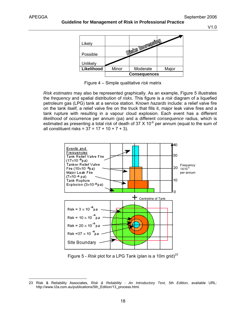

Figure 4 – Simple qualitative *risk* matrix

*Risk estimates* may also be represented graphically. As an example, Figure 5 illustrates the *frequency* and spatial distribution of *risks*. This figure is a *risk* diagram of a liquefied petroleum gas (LPG) tank at a service station. Known *hazards* include: a relief valve fire on the tank itself, a relief valve fire on the truck that fills it, major leak valve fires and a tank rupture with resulting in a vapour cloud explosion. Each event has a different *likelihood* of occurrence per annum (pa) and a different *consequence* radius, which is estimated as presenting a total *risk* of death of 37 X 10<sup>-6</sup> per annum (equal to the sum of all constituent risks =  $37 = 17 + 10 + 7 + 3$ ).



Figure 5 - *Risk* plot for a LPG Tank (plan is a 10m grid)<sup>23</sup>

 23 Risk & Reliability Associates, *Risk & Reliability - An Introductory Text, 5th Edition*, available URL: http://www.r2a.com.au/publications/5th\_Edition/13\_process.html.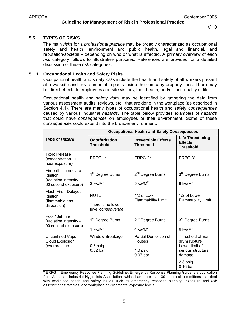# **5.5 TYPES OF RISKS**

The main *risk*s for a *professional practice* may be broadly characterized as occupational safety and health, environment and public health, legal and financial, and reputation/societal – depending on who or what is affected. A primary overview of each *risk* category follows for illustrative purposes. References are provided for a detailed discussion of these *risk* categories.

# **5.1.1 Occupational Health and Safety Risks**

Occupational health and safety *risks* include the health and safety of all workers present at a worksite and environmental impacts inside the company property lines. There may be direct effects to employees and site visitors, their health, and/or their quality of life.

Occupational health and safety *risks* may be identified by gathering the data from various assessment audits, reviews, etc., that are done in the workplace (as described in Section 4.1). There are many types of occupational health and safety *consequences* caused by various industrial *hazards*. The table below provides examples of *hazards* that could have *consequences* on employees or their environment. Some of these *consequences* could extend into the broader environment.

|                                                                                   | <b>Occupational Health and Safety Consequences</b>    |                                                                    |                                                                                                              |  |  |  |
|-----------------------------------------------------------------------------------|-------------------------------------------------------|--------------------------------------------------------------------|--------------------------------------------------------------------------------------------------------------|--|--|--|
| Type of Hazard                                                                    | <b>Odor/Irritation</b><br><b>Threshold</b>            | <b>Irreversible Effects</b><br><b>Threshold</b>                    | <b>Life Threatening</b><br><b>Effects</b><br><b>Threshold</b>                                                |  |  |  |
| <b>Toxic Release</b><br>(concentration - 1<br>hour exposure)                      | $ERPG-1*$                                             | ERPG-2*                                                            | ERPG-3*                                                                                                      |  |  |  |
| Fireball - Immediate<br>Ignition<br>(radiation intensity -<br>60 second exposure) | 1 <sup>st</sup> Degree Burns<br>2 kw/ $M^2$           | 2 <sup>nd</sup> Degree Burns<br>5 kw/ $M^2$                        | 3 <sup>rd</sup> Degree Burns<br>8 kw/ $M^2$                                                                  |  |  |  |
| Flash Fire - Delayed<br>Ignition<br>(flammable gas<br>dispersion)                 | <b>NOTE</b><br>There is no lower<br>level consequence | $1/2$ of Low<br><b>Flammability Limit</b>                          | $1/2$ of Lower<br><b>Flammability Limit</b>                                                                  |  |  |  |
| Pool / Jet Fire<br>(radiation intensity -<br>90 second exposure)                  | 1 <sup>st</sup> Degree Burns<br>1 kw/ $M^2$           | 2 <sup>nd</sup> Degree Burns<br>4 kw/ $M^2$                        | 3 <sup>rd</sup> Degree Burns<br>$6 \text{ kW/M}^2$                                                           |  |  |  |
| <b>Unconfined Vapor</b><br>Cloud Explosion<br>(overpressure)                      | Window Breakage<br>$0.3$ psig<br>$0.02$ bar           | Partial Demolition of<br><b>Houses</b><br>$1.0$ psig<br>$0.07$ bar | Threshold of Ear<br>drum rupture<br>Lower limit of<br>serious structural<br>damage<br>2.3 psig<br>$0.16$ bar |  |  |  |

\* ERPG = Emergency Response Planning Guideline, Emergency Response Planning Guide is a publication from American Industrial Hygienists Association, which has more than 30 technical committees that deal with workplace health and safety issues such as emergency response planning, exposure and *risk assessment* strategies, and workplace environmental exposure levels.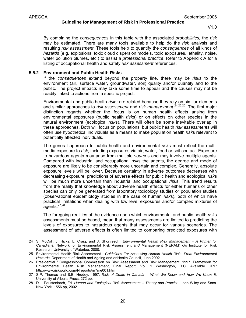By combining the *consequences* in this table with the associated *probabilities,* the *risk* may be estimated. There are many tools available to help do the *risk* analysis and resulting *risk assessment*. These tools help to quantify the *consequences* of all kinds of *hazards* (e.g. explosions, toxic cloud dispersion models, toxic exposures, lethality, noise, water pollution plumes, etc.) to assist a *professional practice*. Refer to Appendix A for a listing of occupational health and safety *risk assessment* references.

#### **5.5.2 Environment and Public Health Risks**

If the *consequences* extend beyond the property line, there may be *risks* to the environment (air, surface water, groundwater, soil) quality and/or quantity and to the public. The project impacts may take some time to appear and the causes may not be readily linked to actions from a specific project.

Environmental and public health *risks* are related because they rely on similar elements and similar approaches to *risk assessment* and *risk management*. 24,25,26 The first major distinction regards whether the focus is on human health effects arising from environmental exposures (public health *risk*s) or on effects on other species in the natural environment (ecological *risk*s). There will often be some inevitable overlap in these approaches. Both will focus on populations, but public health *risk assessment*s will often use hypothetical individuals as a means to make population health *risk*s relevant to potentially affected individuals.

The general approach to public health and environmental *risk*s must reflect the multimedia exposure to *risk*, including exposures via air, water, food or soil contact. Exposure to hazardous agents may arise from multiple *source*s and may involve multiple agents. Compared with industrial and occupational *risk*s the agents, the degree and mode of exposure are likely to be considerably more uncertain and complex. Generally, absolute exposure levels will be lower. Because certainty in adverse outcomes decreases with decreasing exposure, predictions of adverse effects for public health and ecological *risk*s will be much more uncertain than industrial and occupational *risk*s. This trend results from the reality that knowledge about adverse health effects for either humans or other species can only be generated from laboratory toxicology studies or population studies (observational epidemiology studies in the case of human *risk*s), both of which have practical limitations when dealing with low level exposures and/or complex mixtures of agents. $27,28$ 

The foregoing realities of the evidence upon which environmental and public health *risk*s assessments must be based, mean that many assessments are limited to predicting the levels of exposures to hazardous agents that may occur for various scenarios. The assessment of adverse effects is often limited to comparing predicted exposures with

<sup>24</sup> S. McColl, J. Hicks, L. Craig, and J. Shortreed. *Environmental Health Risk Management - A Primer for Canadians,* Network for Environmental Risk Assessment *and* Management (NERAM) c/o Institute for Risk Research, University of Waterloo, 2000.

<sup>25</sup> Environmental Health Risk Assessment - *Guidelines For Assessing Human Health Risks From Environmental Hazards,* Department of Health and Ageing and enHealth Council, June 2002.

<sup>26</sup> Presidential / Congressional Commission on Risk Assessment and Risk Management. 1997. Framework for Environmental Health Risk Management, Final Report, Vol. 1 Washington, D.C. Available URL: http://www.riskworld.com/Nreports/nr7me001.htm

<sup>27</sup> S.P. Thomas and S.E. Hrudey. 1997. *Risk of Death in Canada – What We Know and How We Know It.* University of Alberta Press. 272 pp.

<sup>28</sup> D.J. Paustenbach, Ed. *Human and Ecological Risk Assessment – Theory and Practice*. John Wiley and Sons. New York. 1556 pp, 2002.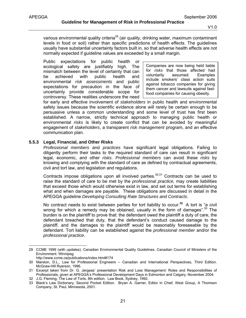various environmental quality criteria<sup>29</sup> (air quality, drinking water, maximum contaminant levels in food or soil) rather than specific predictions of health effects. The guidelines usually have substantial uncertainty factors built in, so that adverse health effects are not normally expected if guideline values are exceeded by a small margin.

Public expectations for public health or ecological safety are justifiably high. The mismatch between the level of certainty that can be achieved with public health and environmental *risk assessments* and public expectations for precaution in the face of uncertainty provide considerable scope for controversy. These realities underscore the need

Companies are now being held liable for *risks* that those affected had voluntarily assumed. Examples include smokers' class action suits against tobacco companies for giving them cancer and lawsuits against fastfood companies for causing obesity.

for early and effective involvement of *stakeholders* in public health and environmental safety issues because the scientific evidence alone will rarely be certain enough to be persuasive unless a common understanding and some level of trust has first been established. A narrow, strictly technical approach to managing public health or environmental *risks* is likely to create conflict that can be avoided by meaningful engagement of *stakeholders*, a transparent *risk management* program, and an effective communication plan.

#### **5.5.3 Legal, Financial, and Other Risks**

*Professional members* and *practices* have significant legal obligations. Failing to diligently perform their tasks to the required standard of care can result in significant legal, economic, and other *risks*. *Professional members* can avoid these *risks* by knowing and complying with the standard of care as defined by contractual agreements, civil and tort law, and legislation and regulations.

Contracts impose obligations upon all involved parties.  $30,31$  Contracts can be used to raise the standard of care to be met by the *professional practice,* may create liabilities that exceed those which would otherwise exist in law, and set out terms for establishing what and when damages are payable. These obligations are discussed in detail in the APEGGA guideline *Developing Consulting Rate Structures and Contracts*.

No contract needs to exist between parties for tort liability to occur.**<sup>32</sup>** A tort is "a civil wrong for which a remedy may be obtained, usually in the form of damages". $33$  The burden is on the plaintiff to prove that: the defendant owed the plaintiff a duty of care, the defendant breached that duty, that the defendant's conduct caused damage to the plaintiff, and the damages to the plaintiff would be reasonably foreseeable by the defendant. Tort liability can be established against the *professional member* and/or the *professional practice*.

<sup>29</sup> CCME 1999 (with updates). Canadian Environmental Quality Guidelines. Canadian Council of Ministers of the Environment. Winnipeg.

http://www.ccme.ca/publications/index.html#174

<sup>30</sup> Marston, D.L., Law for Professional Engineers – Canadian and International Perspectives, Third Edition. McGraw-Hill Ryerson, 1996.

<sup>31</sup> Excerpt taken from Dr. G. Jergeas' presentation Risk and Loss Management: Roles and Responsibilities of Professionals, given at APEGGA's Professional Development Days in Edmonton and Calgary, November 2004.

<sup>32</sup> J.G. Fleming, The Law of Torts, 8th edition. Law Book, Sydney, 1992.

<sup>33</sup> Black's Law Dictionary, Second Pocket Edition. Bryan A. Garner, Editor in Chief, West Group, A Thomson Company, St. Paul, Minnesota, 2001.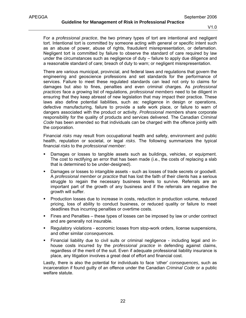For a *professional practice*, the two primary types of tort are intentional and negligent tort. Intentional tort is committed by someone acting with general or specific intent such as an abuse of power, abuse of rights, fraudulent misrepresentation, or defamation. Negligent tort is committed by failure to observe the standard of care required by law under the circumstances such as negligence of duty – failure to apply due diligence and a reasonable standard of care; breach of duty to warn; or negligent misrepresentation.

There are various municipal, provincial, and federal laws and regulations that govern the engineering and geoscience professions and set standards for the performance of services. Failure to meet these regulated standards can lead not only to claims for damages but also to fines, penalties and even criminal charges. As *professional practices* face a growing list of regulations, *professional members* need to be diligent in ensuring that they keep abreast of new legislation that may impact their practice. These laws also define potential liabilities, such as: negligence in design or operations, defective manufacturing, failure to provide a safe work place, or failure to warn of dangers associated with the product or activity. *Professional member*s share corporate responsibility for the quality of products and services delivered. The Canadian *Criminal Code* has been amended so that individuals can be charged with the offence jointly with the corporation.

Financial *risks* may result from occupational health and safety, environment and public health, reputation or societal, or legal *risks*. The following summarizes the typical financial *risks* to the *professional member*:

- **Damages or losses to tangible assets such as buildings, vehicles, or equipment.** The cost to rectifying an error that has been made (i.e., the costs of replacing a slab that is determined to be under-designed).
- Damages or losses to intangible assets such as losses of trade secrets or goodwill. A *professional member* or *practice* that has lost the faith of their clients has a serious struggle to regain the necessary business levels to survive. Referrals are an important part of the growth of any business and if the referrals are negative the growth will suffer.
- **Production losses due to increase in costs, reduction in production volume, reduced** pricing, loss of ability to conduct business, or reduced quality or failure to meet deadlines thus incurring penalties or overtime costs.
- Fines and Penalties these types of losses can be imposed by law or under contract and are generally not insurable.
- Regulatory violations economic losses from stop-work orders, license suspensions, and other similar *consequence*s.
- Financial liability due to civil suits or criminal negligence including legal and inhouse costs incurred by the *professional practice* in defending against claims, regardless of the merit of the suit. Even if adequate professional liability insurance is place, any litigation involves a great deal of effort and financial cost.

Lastly, there is also the potential for individuals to face 'other' *consequences*, such as incarceration if found guilty of an offence under the Canadian *Criminal Code* or a public welfare statute.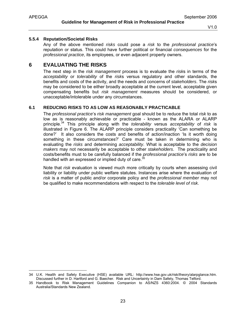-

# **5.5.4 Reputation/Societal Risks**

Any of the above mentioned *risks* could pose a *risk* to the *professional practice*'s reputation or status. This could have further political or financial *consequences* for the *professional practice*, its employees, or even adjacent property owners.

# **6 EVALUATING THE RISKS**

The next step in the *risk management* process is to evaluate the *risk*s in terms of the *acceptability* or *tolerability* of the *risk*s versus regulatory and other standards, the benefits and costs of the activity, and the needs and concerns of *stakeholders*. The *risk*s may be considered to be either broadly acceptable at the current level, acceptable given compensating benefits but *risk management* measures should be considered, or unacceptable/intolerable under any circumstances.

# **6.1 REDUCING RISKS TO AS LOW AS REASONABLY PRACTICABLE**

The *professional practice*'s *risk management* goal should be to reduce the total *risk* to as low as is reasonably achievable or practicable - known as the ALARA or ALARP principle.34 This principle along with the *tolerability* versus *acceptability* of *risk* is illustrated in Figure 6. The ALARP principle considers practicality 'Can something be done?' It also considers the costs and benefits of action/inaction 'Is it worth doing something in these circumstances?' Care must be taken in determining who is evaluating the *risks* and determining *acceptability*. What is acceptable to the *decision makers* may not necessarily be acceptable to other *stakeholders*. The practicality and costs/benefits must to be carefully balanced if the *professional practice*'s *risks* are to be handled with an expressed or implied duty of care.<sup>35</sup>

Note that *risk* evaluation is viewed much more critically by courts when assessing civil liability or liability under public welfare statutes. Instances arise where the evaluation of *risk* is a matter of public and/or corporate policy and the *professional member* may not be qualified to make recommendations with respect to the *tolerable level of risk*.

<sup>34</sup> U.K. Health and Safety Executive (HSE) available URL: http://www.hse.gov.uk/risk/theory/alarpglance.htm. Discussed further in D. Hartford and G. Baecher. Risk and Uncertainty in Dam Safety, Thomas Telford.

<sup>35</sup> Handbook to Risk Management Guidelines Companion to AS/NZS 4360:2004. © 2004 Standards Australia/Standards New Zealand.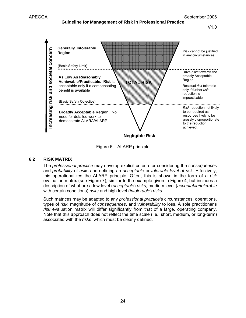## **Guideline for Management of Risk in Professional Practice**

V1.0



Figure 6 – ALARP principle

## **6.2 RISK MATRIX**

The *professional practice* may develop explicit criteria for considering the *consequences* and *probability* of *risk*s and defining an *acceptable* or *tolerable level of risk*. Effectively, this operationalizes the ALARP principle. Often, this is shown in the form of a *risk*  evaluation matrix (see Figure 7), similar to the example given in Figure 4, but includes a description of what are a low level (*acceptable*) *risks*, medium level (*acceptable/tolerable* with certain conditions) *risks* and high level (*intolerable*) *risks*.

Such matrices may be adapted to any *professional practice'*s circumstances, operations, types of *risk,* magnitude of *consequences*, and *vulnerability* to loss. A sole practitioner's *risk* evaluation matrix will differ significantly from that of a large, operating company. Note that this approach does not reflect the time scale (i.e., short, medium, or long-term) associated with the *risk*s, which must be clearly defined.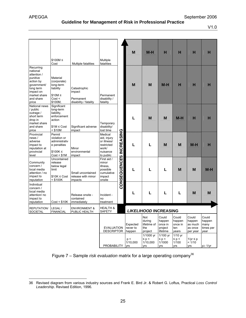# **Guideline for Management of Risk in Professional Practice**

V1.0

|                                              | Multiple                                                                                                                                                                                                                                                                                                                                                                                                                                                                                                  |                                               | M                                                                                | Ne                                                                                           | н                                                                                     | н                                                                                     | н                                                                              | н                                                             |
|----------------------------------------------|-----------------------------------------------------------------------------------------------------------------------------------------------------------------------------------------------------------------------------------------------------------------------------------------------------------------------------------------------------------------------------------------------------------------------------------------------------------------------------------------------------------|-----------------------------------------------|----------------------------------------------------------------------------------|----------------------------------------------------------------------------------------------|---------------------------------------------------------------------------------------|---------------------------------------------------------------------------------------|--------------------------------------------------------------------------------|---------------------------------------------------------------|
| Catastrophic<br>impact<br>Permanent          | Permanent<br>disability /                                                                                                                                                                                                                                                                                                                                                                                                                                                                                 |                                               | M                                                                                | M                                                                                            | DB.                                                                                   | н                                                                                     | н                                                                              | н                                                             |
| impact                                       | Temporary<br>disability/<br>lost time                                                                                                                                                                                                                                                                                                                                                                                                                                                                     |                                               | L                                                                                | M                                                                                            | M                                                                                     | DBI.                                                                                  | H                                                                              | н                                                             |
| Minor<br>environmental<br>impact             | Medical<br>aid, injury<br>or illness/<br>restricted<br>work/<br>nuisance<br>to public                                                                                                                                                                                                                                                                                                                                                                                                                     |                                               | L                                                                                | L                                                                                            | M                                                                                     | M                                                                                     | 1187                                                                           | н                                                             |
| impacts                                      | First aid /<br>minor<br>illness,<br>possible<br>cumulative<br>impact<br>onsite                                                                                                                                                                                                                                                                                                                                                                                                                            |                                               | L                                                                                | L                                                                                            | L                                                                                     | M                                                                                     | M                                                                              | ne:                                                           |
| Release onsite -<br>contained<br>immediately | Incident -<br>no<br>treatment                                                                                                                                                                                                                                                                                                                                                                                                                                                                             |                                               | L                                                                                | L                                                                                            | L                                                                                     | L                                                                                     | M                                                                              | M                                                             |
| <b>ENVIRONMENT &amp;</b><br>PUBLIC HEALTH    | <b>HEALTH &amp;</b><br><b>SAFETY</b>                                                                                                                                                                                                                                                                                                                                                                                                                                                                      |                                               |                                                                                  |                                                                                              |                                                                                       |                                                                                       |                                                                                |                                                               |
|                                              |                                                                                                                                                                                                                                                                                                                                                                                                                                                                                                           |                                               | Expected<br>never to<br>happen<br>p <<br>1/10,000<br>yrs                         | Not<br>during<br>lifetime of<br>the<br>project<br>1/1000 yr<br>$\leq p <$<br>1/10,000<br>yrs | Could<br>happen<br>once in<br>project<br>lifetime<br>1/100 yr<br>$\leq p <$<br>1/1000 | Could<br>happen<br>once in<br>ten<br>years<br>$1/10$ yr<br>$\leq p <$<br>1/100<br>yrs | Could<br>happen<br>as much<br>as once<br>per year<br>1/yr ≤ p<br>< 1/10<br>yrs | Could<br>happen<br>many<br>times per<br>year<br>$p \geq 1/yr$ |
|                                              | $$100M \le$<br>Multiple fatalities<br>Material<br>(corporate)<br>long-term<br>liability<br>$$10M \le$<br>Cost <<br>\$100M.<br>disability / fatality<br>Significant<br>long-term<br>liability,<br>enforcement<br>$$1M \leq Cost$<br>$<$ \$10M<br>Permit<br>violation or<br>administrativ<br>e penalties<br>$$100K \le$<br>Cost < \$1M<br>Uncontained<br>release<br>below legal<br>Small uncontained<br>$$10K \leq Cost$<br>release with minor<br>$<$ \$100K<br>Cost < \$10K<br>LEGAL /<br><b>FINANCIAL</b> | fatalities<br>fatality<br>Significant adverse | CONSEQUENCES INCREASING<br><b>EVALUATION</b><br><b>DESCRIPTOR</b><br>PROBABILITY |                                                                                              |                                                                                       | yrs                                                                                   | <b>LIKELIHOOD INCREASING</b>                                                   |                                                               |

Figure 7 – Sample *risk evaluation* matrix for a large operating company<sup>36</sup>

<sup>-</sup>36 Revised diagram from various industry sources and Frank E. Bird Jr. & Robert G. Loftus, Practical *Loss Control Leadership*. Revised Edition, 1996.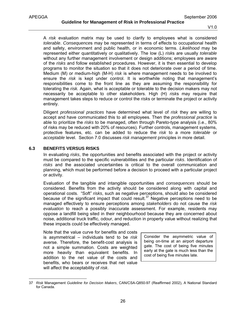A *risk* evaluation matrix may be used to clarify to employees what is considered *tolerable*. *Consequence*s may be represented in terms of effects to occupational health and safety, environment and public health, or in economic terms. *Likelihood* may be represented either quantitatively or qualitatively. The low (L) *risk*s are usually *tolerable* without any further management involvement or design additions; employees are aware of the *risks* and follow established procedures. However, it is then essential to develop programs to monitor the situation so that it does not deteriorate over a period of time. Medium (M) or medium-high (M-H) *risk* is where management needs to be involved to ensure the *risk* is kept under control. It is worthwhile noting that management's responsibilities come to the front line as they are assuming the responsibility for tolerating the *risk.* Again, what is acceptable or tolerable to the decision makers may not necessarily be acceptable to other stakeholders. High (H) *risk*s may require that management takes steps to reduce or control the *risk*s or terminate the project or activity entirely.

Diligent *professional practices* have determined what level of *risk* they are willing to accept and have communicated this to all employees. Then the *professional practice* is able to prioritize the *risks* to be managed, often through Pareto-type analysis (i.e., 80% of risks may be reduced with 20% of resources). Further controls, management systems, protective features, etc. can be added to reduce the *risk* to a more *tolerable* or *acceptable* level. Section 7.0 discusses *risk management* principles in more detail.

# **6.3 BENEFITS VERSUS RISKS**

-

In evaluating *risks*, the opportunities and benefits associated with the project or activity must be compared to the specific vulnerabilities and the particular *risks*. Identification of *risks* and the associated uncertainties is critical to the overall communication and planning, which must be performed before a decision to proceed with a particular project or activity.

Evaluation of the tangible and intangible opportunities and *consequences* should be considered. Benefits from the activity should be considered along with capital and operational costs. "Soft" *risks*, such as negative perceptions, should also be considered because of the significant impact that could result.<sup>37</sup> Negative perceptions need to be managed effectively to ensure perceptions among *stakeholders* do not cause the *risk evaluation* to reach a possibly inaccurate assessment. For example, residents may oppose a landfill being sited in their neighbourhood because they are concerned about noise, additional truck traffic, odour, and reduction in property value without realizing that these impacts could be effectively managed.

Note that the value curve for benefits and costs is asymmetrical – individuals tend to be *risk* averse. Therefore, the benefit-cost analysis is not a simple summation. Costs are weighted more heavily than equivalent benefits. In addition to the net value of the costs and benefits, who bears or receives that net value will affect the acceptability of *risk*.

Consider the asymmetric value of being on-time at an airport departure gate. The cost of being five minutes early at the gate is much less than the cost of being five minutes late.

<sup>37</sup> *Risk* Management *Guideline for Decision Makers*, CAN/CSA-Q850-97 (Reaffirmed 2002), A National Standard for Canada.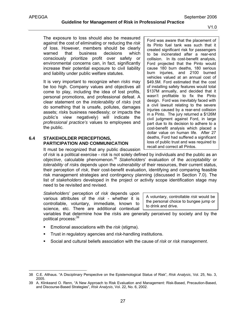-

The exposure to loss should also be measured against the cost of eliminating or reducing the *risk* of loss. However, members should be clearly warned that business decisions which consciously prioritize profit over safety or environmental concerns can, in fact, significantly increase their potential exposure to civil liability and liability under public welfare statutes.

It is very important to recognize when *risks* may be too high. Company values and objectives all come to play, including the idea of lost profits, personal promotions, and professional defeat. A clear statement on the *intolerability* of *risks* (not do something that is unsafe, pollutes, damages assets; *risk*s business needlessly; or impacts the public's view negatively) will indicate the *professional practice's* values to employees and the public.

# **6.4 STAKEHOLDER PERCEPTIONS, PARTICIPATION AND COMMUNICATION**

Ford was aware that the placement of its Pinto fuel tank was such that it created significant risk for passengers to be incinerated after a rear-end collision. In its cost-benefit analysis, Ford projected that the Pinto would cause 180 burn deaths, 180 serious burn injuries, and 2100 burned vehicles valued at an annual cost of \$49.5M. Ford estimated that the cost of installing safety features would total \$137M annually, and decided that it wasn't profitable to fix the Pinto design. Ford was inevitably faced with a civil lawsuit relating to the severe injuries caused by a rear-end collision in a Pinto. The jury returned a \$126M civil judgment against Ford, in large part due to its decision to adhere to a cost-benefit analysis which placed a dollar value on human life. After 27 deaths, Ford had suffered a significant loss of public trust and was required to recall and correct all Pintos.

It must be recognized that any public discussion

of *risk* is a political exercise - *risk* is not solely defined by individuals and the public as an *objective*, calculable phenomenon.<sup>38</sup> *Stakeholders*' evaluation of the *acceptability* or *tolerability* of *risk*s depends upon the *vulnerability* of their resources, their current status, their perception of *risk*, their cost-benefit evaluation, identifying and comparing feasible risk management strategies and contingency planning (discussed in Section 7.0). The list of *stakeholders* developed in the project or activity scope identification stage may need to be revisited and revised.

*Stakeholders*' perception of *risk* depends upon various attributes of the *risk* - whether it is controllable, voluntary, immediate, known to science, etc. There are additional contextual

A voluntary, controllable *risk* would be the personal choice to bungee jump or to drink and drive.

variables that determine how the *risk*s are generally perceived by society and by the political process:<sup>39</sup>

- Emotional associations with the *risk* (stigma).
- Trust in regulatory agencies and *risk*-handling institutions.
- Social and cultural beliefs association with the cause of *risk* or *risk management*.

<sup>38</sup> C.E. Althaus. "A Disciplinary Perspective on the Epistemological Status of Risk", *Risk Analysis*, Vol. 25, No. 3, 2005.

<sup>39</sup> A. Klinkeand O. Renn, "A New Approach to Risk Evaluation and Management: Risk-Based, Precaution-Based, and Discourse-Based Strategies", *Risk Analysis*, Vol. 22, No. 6, 2002.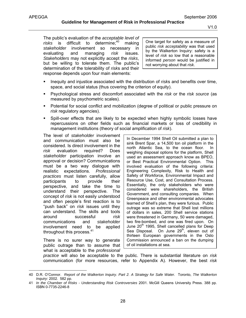The public's evaluation of the *acceptable level of*  risks is difficult to determine:<sup>40</sup> making *stakeholder* involvement so necessary in evaluating and managing *risk* issues. *Stakeholders* may not explicitly accept the *risks*, but be willing to tolerate them. The public's determination of the tolerability of *risk*s and their response depends upon four main elements:

One target for safety as a measure of public *risk acceptability* was that used by the Walkerton Inquiry: safety is a level of *risk* so low that a reasonable informed *person* would be justified in not worrying about that *risk*.

- Inequity and injustice associated with the distribution of *risk*s and benefits over time, space, and social status (thus covering the criterion of equity).
- Psychological stress and discomfort associated with the *risk* or the *risk source* (as measured by psychometric scales).
- Potential for social conflict and mobilization (degree of political or public pressure on *risk* regulatory agencies).
- Spill-over effects that are likely to be expected when highly symbolic losses have repercussions on other fields such as financial markets or loss of credibility in management institutions (theory of social amplification of *risk*).

The level of *stakeholder* involvement and communication must also be considered. Is direct involvement in the *risk* evaluation required? Does *stakeholder* participation involve an approval or decision? Communications must be a two way dialogue with realistic expectations. *Professional practices* must listen carefully, allow participants to provide their perspective, and take the time to understand their perspective. The concept of *risk* is not easily understood and often people's first reaction is to "push back" on *risk* issues until they can understand. The skills and tools around successful *risk* communications and *stakeholder* involvement need to be applied throughout this process.<sup>41</sup>

There is no surer way to generate public outrage than to assume that what is acceptable to the *professional* 

In December 1994 Shell Oil submitted a plan to sink Brent Spar, a 14,500 ton oil platform in the north Atlantic Sea, to the ocean floor. In weighing disposal options for the platform, Shell used an assessment approach know as BPEO, or Best Practical Environmental Option. This involved evaluation of the following criteria: Engineering Complexity, Risk to Health and Safety of Workforce, Environmental Impact and Resource Use, Cost, and Consultation Process. Essentially, the only stakeholders who were considered were shareholders, the British Government, and consulting companies. When Greenpeace and other environmental advocates learned of Shell's plan, they were furious. Public outrage was so extreme that Shell lost millions of dollars in sales, 200 Shell service stations were threatened in Germany, 50 were damaged, two fire-bombed, and one was fired upon. On June 20<sup>th</sup> 1995, Shell cancelled plans for Deep Sea Disposal. On June 29<sup>th</sup>, eleven out of thirteen European governments in the Oslo Commission announced a ban on the dumping of oil installations at sea.

*practice* will also be acceptable to the public. There is substantial literature on *risk* communication (for more resources, refer to Appendix A). However, the best *risk*

<sup>40</sup> D.R. O'Connor. *Report of the Walkerton Inquiry. Part 2. A Strategy for Safe Water*. Toronto, *The Walkerton Inquiry:* 2002. 582 pp.

<sup>41</sup> *In the Chamber of Risks - Understanding Risk Controversies* 2001. McGill Queens University Press. 388 pp. ISBN 0-7735-2246-8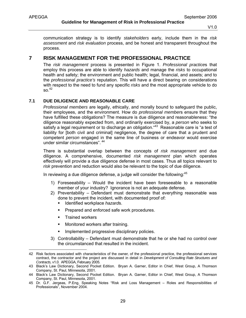communication strategy is to identify *stakeholders* early, include them in the *risk assessment* and *risk evaluation* process, and be honest and transparent throughout the process.

# **7 RISK MANAGEMENT FOR THE PROFESSIONAL PRACTICE**

The *risk management* process is presented in Figure 1. *Professional practice*s that employ this process are able to identify *hazards* and manage the *risks* to occupational health and safety; the environment and public health; legal, financial, and assets; and to the *professional practice's* reputation. This will have a direct bearing on considerations with respect to the need to fund any specific *risks* and the most appropriate vehicle to do  $SO<sub>42</sub>$ 

# **7.1 DUE DILIGENCE AND REASONABLE CARE**

*Professional members* are legally, ethically, and morally bound to safeguard the public, their employees, and the environment. How do *professional member*s ensure that they have fulfilled these obligations? The measure is due diligence and reasonableness: "the diligence reasonably expected from, and ordinarily exercised by, a *person* who seeks to satisfy a legal requirement or to discharge an obligation.<sup>"43</sup> Reasonable care is "a test of liability for [both civil and criminal] negligence, the degree of care that a prudent and competent *person* engaged in the same line of business or endeavor would exercise under similar circumstances". <sup>44</sup>

There is substantial overlap between the concepts of *risk management* and due diligence. A comprehensive, documented *risk management* plan which operates effectively will provide a due diligence defense in most cases. Thus all topics relevant to *risk* prevention and reduction would also be relevant to the topic of due diligence.

In reviewing a due diligence defense, a judge will consider the following:<sup>45</sup>

- 1) Foreseeability Would the incident have been foreseeable to a reasonable member of your industry? Ignorance is not an adequate defense.
- 2) Preventability Defendant must demonstrate that everything reasonable was done to prevent the incident, with documented proof of:
	- Identified workplace *hazard*s.
	- **Prepared and enforced safe work procedures.**
	- **Trained workers**
	- **•** Monitored workers after training.
	- **Implemented progressive disciplinary policies.**
- 3) Controllability Defendant must demonstrate that he or she had no control over the circumstanced that resulted in the incident.

<sup>-</sup>42 Risk factors associated with characteristics of the owner, of the professional practice, the professional services contract, the contractor and the project are discussed in detail in *Development of Consulting Rate Structures and Contracts,* v1.0. APEGGA, February 2005.

<sup>43</sup> Black's Law Dictionary, Second Pocket Edition. Bryan A. Garner, Editor in Chief, West Group, A Thomson Company, St. Paul, Minnesota, 2001.

<sup>44</sup> Black's Law Dictionary, Second Pocket Edition. Bryan A. Garner, Editor in Chief, West Group, A Thomson Company, St. Paul, Minnesota, 2001.

<sup>45</sup> Dr. G.F. Jergeas, P.Eng, Speaking Notes "Risk and Loss Management – Roles and Responsibilities of Professionals", November 2004.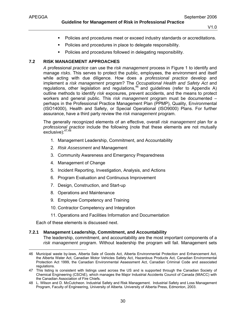- **Policies and procedures meet or exceed industry standards or accreditations.**
- Policies and procedures in place to delegate responsibility.
- Policies and procedures followed in delegating responsibility.

## **7.2 RISK MANAGEMENT APPROACHES**

*A* professional *practice* can use the *risk management* process in Figure 1 to identify and manage *risks*. This serves to protect the public, employees, the environment and itself while acting with due diligence. How does a *professional practice* develop and implement a *risk management* program? The *Occupational Health and Safety Act* and regulations, other legislation and regulations,  $46$  and guidelines (refer to Appendix A) outline methods to identify *risk* exposures, prevent accidents, and the means to protect workers and general public. This *risk management* program must be documented – perhaps in the Professional Practice Management Plan (PPMP), Quality, Environmental (ISO14000), Health and Safety, or Special Operational (ISO9000) Plans. For further assurance, have a third party review the *risk management* program.

The generally recognized elements of an effective, overall *risk management* plan for a *professional practice* include the following (note that these elements are not mutually exclusive):47,48

- 1. Management Leadership, Commitment, and Accountability
- 2. *Risk Assessment* and Management
- 3. Community Awareness and Emergency Preparedness
- 4. Management of Change
- 5. Incident Reporting, Investigation, Analysis, and Actions
- 6. Program Evaluation and Continuous Improvement
- 7. Design, Construction, and Start-up
- 8. Operations and Maintenance
- 9. Employee Competency and Training
- 10. Contractor Competency and Integration
- 11. Operations and Facilities Information and Documentation

Each of these elements is discussed next.

#### **7.2.1 Management Leadership, Commitment, and Accountability**

The leadership, commitment, and accountability are the most important components of a *risk management* program. Without leadership the program will fail. Management sets

<sup>46</sup> Municipal waste by-laws, Alberta Sale of Goods Act, Alberta Environmental Protection and Enhancement Act, the Alberta Water Act, Canadian Motor Vehicles Safety Act, Hazardous Products Act, Canadian Environmental Protection Act 1999, the Canadian Environmental Assessment Act, Canadian Criminal Code and associated regulations.

<sup>47</sup> This listing is consistent with listings used across the US and is supported through the Canadian Society of Chemical Engineering (CSChE), which manages the Major Industrial Accidents Council of Canada (MIACC) with the Canadian Association of Fire Chiefs.

<sup>48</sup> L. Wilson and D. McCutcheon. Industrial Safety and Risk Management. Industrial Safety and Loss Management Program, Faculty of Engineering, University of Alberta. University of Alberta Press, Edmonton, 2003.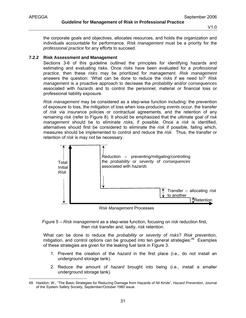the corporate goals and objectives, allocates resources, and holds the organization and individuals accountable for performance. *Risk management* must be a priority for the *professional practice* for any efforts to succeed.

#### **7.2.2 Risk Assessment and Management**

Sections 3-6 of this guideline outlined the principles for identifying hazards and estimating and evaluating risks. Once *risk*s have been evaluated for a *professional practice*, then these *risks* may be prioritized for management. *Risk management*  answers the question: 'What can be done to reduce the *risk*s if we need to?' *Risk management* is a proactive approach to decrease the *probability* and/or *consequences* associated with *hazards* and to control the personnel, material or financial loss or professional liability exposure.

*Risk management* may be considered as a step-wise function including: the prevention of exposure to loss, the mitigation of loss when loss-producing *events* occur, the transfer of *risk* via insurance policies or contractual agreements, and the retention of any remaining *risk* (refer to Figure 8). It should be emphasized that the ultimate goal of *risk management* should be to eliminate *risk*s, if possible. Once a *risk* is identified, alternatives should first be considered to eliminate the *risk* if possible, failing which, measures should be implemented to control and reduce the *risk*. Thus, the transfer or retention of *risk* is may not be necessary.



*Risk Management* Processes



What can be done to reduce the *probability* or *severity* of *risks*? *Risk* prevention, mitigation, and control options can be grouped into ten general strategies:<sup>49</sup> Examples of these strategies are given for the leaking fuel tank in Figure 3.

- 1. Prevent the creation of the *hazard* in the first place (i.e., do not install an underground storage tank).
- 2. Reduce the amount of *hazard* brought into being (i.e., install a smaller underground storage tank).

<sup>49</sup> Haddon, W., "The Basic Strategies for Reducing Damage from Hazards of All Kinds", *Hazard Prevention*, Journal of the System Safety Society, September/October 1980 issue.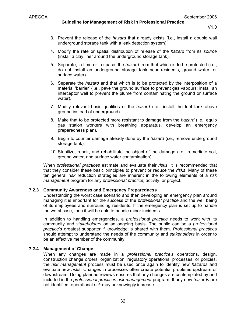- 3. Prevent the release of the *hazard* that already exists (i.e., install a double wall underground storage tank with a leak detection system).
- 4. Modify the rate or spatial distribution of release of the *hazard* from its *source* (install a clay liner around the underground storage tank).
- 5. Separate, in time or in space, the *hazard* from that which is to be protected (i.e., do not install an underground storage tank near residents, ground water, or surface water).
- 6. Separate the *hazard* and that which is to be protected by the interposition of a material 'barrier' (i.e., pave the ground surface to prevent gas vapours; install an interceptor well to prevent the plume from contaminating the ground or surface water).
- 7. Modify relevant basic qualities of the *hazard* (i.e., install the fuel tank above ground instead of underground).
- 8. Make that to be protected more resistant to damage from the *hazard* (i.e., equip gas station workers with breathing apparatus, develop an emergency preparedness plan).
- 9. Begin to counter damage already done by the *hazard* (i.e., remove underground storage tank).
- 10. Stabilize, repair, and rehabilitate the object of the damage (i.e., remediate soil, ground water, and surface water contamination).

When *professional practices* estimate and evaluate their *risks*, it is recommended that that they consider these basic principles to prevent or reduce the *risks*. Many of these ten general *risk* reduction strategies are inherent in the following elements of a *risk management* program for any *professional practice,* activity, or project.

# **7.2.3 Community Awareness and Emergency Preparedness**

Understanding the worst case scenario and then developing an emergency plan around managing it is important for the success of the *professional practice* and the well being of its employees and surrounding residents. If the emergency plan is set up to handle the worst case, then it will be able to handle minor incidents.

In addition to handling emergencies, a *professional practice* needs to work with its community and *stakeholders* on an ongoing basis. The public can be a *professional practice*'s greatest supporter if knowledge is shared with them. *Professional practice*s should attempt to understand the needs of the community and *stakeholders* in order to be an effective member of the community.

# **7.2.4 Management of Change**

When any changes are made in a *professional practice's* operations, design, construction change orders, organization, regulatory operations, processes, or policies, the *risk management* process must be used once again to identify new *hazards* and evaluate new *risks*. Changes in processes often create potential problems upstream or downstream. Doing planned reviews ensures that any changes are contemplated by and included in the *professional practices risk management* program. If any new *hazards* are not identified, operational *risk* may unknowingly increase.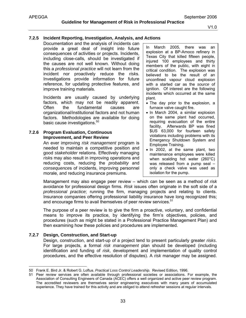# **7.2.5 Incident Reporting, Investigation, Analysis, and Actions**

Documentation and the analysis of incidents can provide a great deal of insight into future consequences of activities or projects. Incidents, including close-calls, should be investigated if the causes are not well known. Without doing this a *professional practice* will not learn from the incident nor proactively reduce the *risk*s. Investigations provide information for future reference, for updating protective features, and improve training materials.

Incidents are usually caused by underlying factors, which may not be readily apparent. Often the fundamental causes are organizational/institutional factors and not human factors. Methodologies are available for doing basic cause investigations.<sup>50</sup>

# **7.2.6 Program Evaluation, Continuous Improvement, and Peer Review**

An ever improving *risk management* program is needed to maintain a competitive position and good *stakeholder* relations. Effectively managing *risk*s may also result in improving operations and reducing costs, reducing the *probability* and *consequence*s of incidents, improving personnel morale, and reducing insurance premiums.

In March 2005, there was an explosion at a BP-Amoco refinery in Texas City that killed fifteen people, injured 100 employees and thirty members of the public, with eight in critical condition. The explosion was believed to be the result of an unconfined vapour cloud explosion with a started car as the *source* of ignition. Of interest are the following incidents which occurred at the same plant.

- The day prior to the explosion, a furnace valve caught fire.
- In March 2004, a similar explosion on the same plant had occurred, requiring evacuation of the entire facility. Afterwards BP was fined \$US 63,000 for fourteen safety violations including problems with its Emergency Shutdown System and Employee Training.
- In 2002, at the same plant, two maintenance employees were killed when scalding hot water (260°C) was released from a pump seal – only a check valve was used as isolation for the pump.

Management may also engage peer review – which can be seen as a method of *risk* avoidance for professional design firms. *Risk* issues often originate in the soft side of a *professional practice*; running the firm, managing projects and relating to clients. Insurance companies offering professional liability insurance have long recognized this; and encourage firms to avail themselves of peer review services.<sup>51</sup>

The purpose of a peer review is to give the firm a proactive, voluntary, and confidential means to improve its practice, by identifying the firm's objectives, policies, and procedures (such as might be stated in a Professional Practice Management Plan) and then examining how these policies and procedures are implemented.

# **7.2.7 Design, Construction, and Start-up**

Design, construction, and start-up of a project tend to present particularly greater *risks*. For large projects, a formal *risk management* plan should be developed (including identification and funding of *risk*, development and implementation of quality control procedures, and the effective resolution of disputes). A *risk* manager may be assigned.

 $\overline{a}$ 50 Frank E. Bird Jr. & Robert G. Loftus. *Practical Loss Control Leadership.* Revised Edition, 1996.

<sup>51</sup> Peer review services are often available through professional societies or associations. For example, the Association of Consulting Engineers of Canada (ACEC) offers a well organized and active peer review program. The accredited reviewers are themselves senior engineering executives with many years of accumulated experience. They have trained for this activity and are obliged to attend refresher sessions at regular intervals.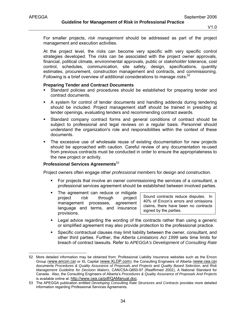-

**Guideline for Management of Risk in Professional Practice** 

V1.0

For smaller projects, *risk management* should be addressed as part of the project management and execution activities.

At the project level, the *risk*s can become very specific with very specific control strategies developed. The *risk*s can be associated with the project owner approvals, financial, political climate, environmental approvals, public or *stakeholder* tolerance, cost control, schedules, communication, site safety, design, specifications, quantity estimates, procurement, construction management and contracts, and commissioning. Following is a brief overview of additional considerations to manage *risk*s:<sup>52</sup>

#### **Preparing Tender and Contract Documents**

- Standard policies and procedures should be established for preparing tender and contract documents.
- A system for control of tender documents and handling addenda during tendering should be included. Project management staff should be trained in presiding at tender openings, evaluating tenders and recommending contract awards.
- Standard company contract forms and general conditions of contract should be subject to professional and legal reviews on a regular basis. Personnel should understand the organization's role and responsibilities within the context of these documents.
- The excessive use of wholesale reuse of existing documentation for new projects should be approached with caution. Careful review of any documentation re-used from previous contracts must be conducted in order to ensure the appropriateness to the new project or activity.

#### **Professional Services Agreements**<sup>53</sup>

Project owners often engage other *professional members* for design and construction.

- For projects that involve an owner commissioning the services of a consultant, a professional services agreement should be established between involved parties.
- The agreement can reduce or mitigate project *risk* through project management processes, agreement language and terms, and insurance provisions.

Sound contracts reduce disputes. In 40% of Encon's errors and omissions claims, there have been no contracts signed by the parties.

- Legal advice regarding the wording of the contracts rather than using a generic or simplified agreement may also provide protection to the professional practice.
- Specific contractual clauses may limit liability between the owner, consultant, and other third parties. Further, the *Alberta Limitations Act 1999* sets time limits for breach of contract lawsuits. Refer to *APEGGA's Development of Consulting Rate*

<sup>52</sup> More detailed information may be obtained from: Professional Liability Insurance websites such as the Encon Group (www.encon.ca) or XL Capital (www.XLDP.com); the Consulting Engineers of Alberta (www.cea.ca) documents *Procedures & Quality Assurance of Proposals and Projects* and *Quality Based Selection*, and *Risk Management Guideline for Decision Makers*, CAN/CSA-Q850-97 (Reaffirmed 2002), A National Standard for Canada. Also, the Consulting Engineers of Alberta's *Procedures & Quality Assurance of Proposals And Projects* is available online at: http://www.cea.ca/pdf/QAManual.doc.

<sup>53</sup> The APEGGA publication entitled *Developing Consulting Rate Structures and Contracts* provides more detailed information regarding Professional Services Agreements.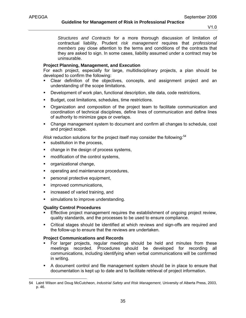*Structures and Contracts* for a more thorough discussion of limitation of contractual liability. Prudent *risk management* requires that *professional members* pay close attention to the terms and conditions of the contracts that they are asked to sign. In some cases, liability assumed under a contract may be uninsurable.

## **Project Planning, Management, and Execution**

For each project, especially for large, multidisciplinary projects, a plan should be developed to confirm the following:

- Clear definition of the objectives, concepts, and assignment project and an understanding of the scope limitations.
- **Development of work plan, functional description, site data, code restrictions,**
- Budget, cost limitations, schedules, time restrictions.
- Organization and composition of the project team to facilitate communication and coordination of technical disciplines, define lines of communication and define lines of authority to minimize gaps or overlaps.
- Change management system to document and confirm all changes to schedule, cost and project scope.

*Risk* reduction solutions for the project itself may consider the following: $54$ 

- **s** substitution in the process,
- change in the design of process systems,
- **n** modification of the control systems,
- organizational change,
- **•** operating and maintenance procedures,
- **Personal protective equipment,**
- **·** improved communications,
- **EXEDER** increased of varied training, and
- **simulations to improve understanding.**

#### **Quality Control Procedures**

-

- Effective project management requires the establishment of ongoing project review, quality standards, and the processes to be used to ensure compliance.
- Critical stages should be identified at which reviews and sign-offs are required and the follow-up to ensure that the reviews are undertaken.

#### **Project Communications and Records**

- For larger projects, regular meetings should be held and minutes from these meetings recorded. Procedures should be developed for recording all communications, including identifying when verbal communications will be confirmed in writing.
- A document control and file management system should be in place to ensure that documentation is kept up to date and to facilitate retrieval of project information.

<sup>54</sup> Laird Wilson and Doug McCutcheon, *Industrial Safety and Risk Management*, University of Alberta Press, 2003, p. 46.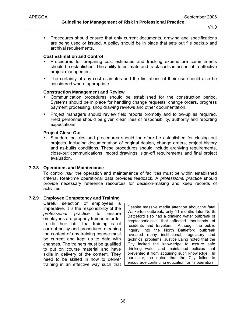Procedures should ensure that only current documents, drawing and specifications are being used or issued. A policy should be in place that sets out file backup and archival requirements.

#### **Cost Estimation and Control**

- Procedures for preparing cost estimates and tracking expenditure commitments should be established. The ability to estimate and track costs is essential to effective project management.
- The certainty of any cost estimates and the limitations of their use should also be considered where appropriate.

#### **Construction Management and Review**

- Communication procedures should be established for the construction period. Systems should be in place for handling change requests, change orders, progress payment processing, shop drawing reviews and other documentation.
- Project managers should review field reports promptly and follow-up as required. Field personnel should be given clear lines of responsibility, authority and reporting expectations.

#### **Project Close-Out**

 Standard policies and procedures should therefore be established for closing out projects, including documentation of original design, change orders, project history and as-builts conditions. These procedures should include archiving requirements, close-out communications, record drawings, sign-off requirements and final project evaluation.

# **7.2.8 Operations and Maintenance**

To control *risk*, the operation and maintenance of facilities must be within established criteria. Real-time operational data provides feedback. A *professional practice* should provide necessary reference resources for decision-making and keep records of activities.

# **7.2.9 Employee Competency and Training**

Careful selection of employees is imperative. It is the responsibility of the *professional practice* to ensure employees are properly trained in order to do their job. That training is of current policy and procedures meaning the content of any training course must be current and kept up to date with changes. The trainers must be qualified to put on course material and have skills in delivery of the content. They need to be skilled in how to deliver training in an effective way such that

Despite massive media attention about the fatal Walkerton outbreak, only 11 months later North Battleford also had a drinking water outbreak of cryptosporidiosis that affected thousands of residents and travelers. Although the public inquiry into the North Battleford outbreak revealed many institutional, regulatory and technical problems, Justice Laing noted that the City lacked the knowledge to assure safe drinking water and maintained policies that prevented it from acquiring such knowledge. In particular, he noted that the City failed to encourage continuing education for its operators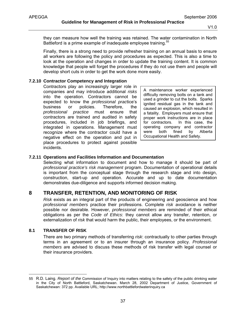they can measure how well the training was retained. The water contamination in North Battleford is a prime example of inadequate employee training.<sup>55</sup>

Finally, there is a strong need to provide refresher training on an annual basis to ensure all workers are following the policy and procedures as expected. This is also a time to look at the operation and changes in order to update the training content. It is common knowledge that people will forget the procedures if they do not use them and people will develop short cuts in order to get the work done more easily.

#### **7.2.10 Contractor Competency and Integration**

Contractors play an increasingly larger role in companies and may introduce additional *risks* into the operation. Contractors cannot be expected to know the *professional prac*tice's business or policies. Therefore, the *professional practice* must ensure that contractors are trained and audited in safety procedures, included in job briefings, and integrated in operations. Management must recognize where the contractor could have a negative effect on the operation and put in place procedures to protect against possible incidents.

A maintenance worker experienced difficulty removing bolts on a tank and used a grinder to cut the bolts. Sparks ignited residual gas in the tank and caused an explosion, which resulted in a fatality. Employers must ensure that proper work instructions are in place for contractors. In this case, the operating company and contractor were both fined by Alberta Occupational Health and Safety.

## **7.2.11 Operations and Facilities Information and Documentation**

Selecting what information to document and how to manage it should be part of *professional practice's risk management* program. Documentation of operational details is important from the conceptual stage through the research stage and into design, construction, start-up and operation. Accurate and up to date documentation demonstrates due-diligence and supports informed decision making.

# **8 TRANSFER, RETENTION, AND MONITORING OF RISK**

*Risk* exists as an integral part of the products of engineering and geoscience and how *professional members* practice their professions. Complete *risk* avoidance is neither possible nor desirable. However, *professional members* are reminded of their ethical obligations as per the *Code of Ethics*: they cannot allow any transfer, retention, or externalization of *risk* that would harm the public, their employees, or the environment.

# **8.1 TRANSFER OF RISK**

 $\overline{a}$ 

There are two primary methods of transferring *risk*: contractually to other parties through terms in an agreement or to an insurer through an insurance policy. *Professional members* are advised to discuss these methods of risk transfer with legal counsel or their insurance providers.

<sup>55</sup> R.D. Laing. *Report of the* Commission of Inquiry into matters relating to the safety of the public drinking water in the City of North Battleford, Saskatchewan. March 28, 2002 Department of Justice, Government of Saskatchewan: 372 pp. Available URL; http://www.northbattlefordwaterinquiry.ca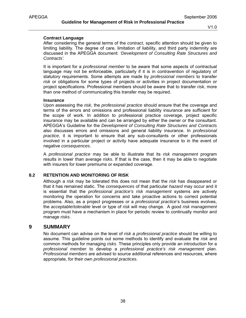#### **Contract Language**

After considering the general terms of the *contract*, specific attention should be given to limiting liability. The degree of care, limitation of liability, and third party indemnity are discussed in the APEGGA document: *'Development of Consulting Rate Structures and Contracts'.* 

It is important for a *professional member* to be aware that some aspects of contractual language may not be enforceable, particularly if it is in contravention of regulatory of statutory requirements. Some attempts are made by *professional members* to transfer *risk* or obligations for some types of projects or activities in project documentation or project specifications. Professional members should be aware that to transfer *risk*, more than one method of communicating this transfer may be required.

#### **Insurance**

Upon assessing the *risk*, the *professional practice* should ensure that the coverage and terms of the errors and omissions and professional liability insurance are sufficient for the scope of work. In addition to professional practice coverage, project specific insurance may be available and can be arranged by either the owner or the consultant. APEGGA's Guideline for the *Development of Consulting Rate Structures and Contracts* also discusses errors and omissions and general liability insurance. In *professional practice*, it is important to ensure that any sub-consultants or other professionals involved in a particular project or activity have adequate insurance to in the event of negative *consequences*.

A *professional practice* may be able to illustrate that its *risk management* program results in lower than average *risks*. If that is the case, then it may be able to negotiate with insurers for lower premiums or expanded coverage.

# **8.2 RETENTION AND MONITORING OF RISK**

Although a *risk* may be tolerated this does not mean that the *risk* has disappeared or that it has remained static. The *consequences* of that particular *hazard* may occur and it is essential that the *professional practice's risk management* systems are actively monitoring the operation for concerns and take proactive actions to correct potential problems. Also, as a project progresses or a *professional practice*'s business evolves, the *acceptable*/*tolerable* level or type of *risk* will may change. A good *risk management* program must have a mechanism in place for periodic review to continually monitor and manage *risks*.

# **9 SUMMARY**

No document can advise on the level of *risk* a *professional practice* should be willing to assume. This guideline points out some methods to identify and evaluate the *risk* and common methods for managing *risks*. These principles only provide an introduction for a *professional member* to develop a *professional practice's risk management* plan. *Professional members* are advised to source additional references and resources, where appropriate, for their own *professional practices*.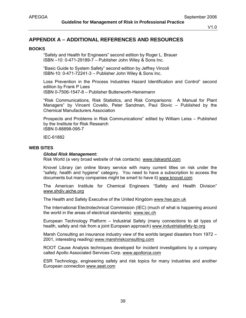# **APPENDIX A – ADDITIONAL REFERENCES AND RESOURCES**

#### **BOOKS**

"Safety and Health for Engineers" second edition by Roger L. Brauer ISBN –10: 0-471-29189-7 – Publisher John Wiley & Sons Inc.

"Basic Guide to System Safety" second edition by Jeffrey Vincoli ISBN-10: 0-471-72241-3 – Publisher John Wiley & Sons Inc.

Loss Prevention in the Process Industries Hazard Identification and Control" second edition by Frank P Lees ISBN 0-7506-1547-8 – Publisher Butterworth-Heinemann

"Risk Communications, Risk Statistics, and Risk Comparisons: A Manual for Plant Managers" by Vincent Covello, Peter Sandman, Paul Slovic – Published by the Chemical Manufacturers Association

Prospects and Problems in Risk Communications" edited by William Leiss – Published by the Institute for Risk Research ISBN 0-88898-095-7

IEC-61882

#### **WEB SITES**

#### *Global Risk Management:*

Risk World (a very broad website of risk contacts) www.riskworld.com

Knovel Library (an online library service with many current titles on risk under the "safety, health and hygiene" category. You need to have a subscription to access the documents but many companies might be smart to have it) www.knovel.com

The American Institute for Chemical Engineers "Safety and Health Division" www.shdiv.aiche.org

The Health and Safety Executive of the United Kingdom www.hse.gov.uk

The International Electrotechnical Commission (IEC) (much of what is happening around the world in the areas of electrical standards) www.iec.ch

European Technology Platform – Industrial Safety (many connections to all types of health, safety and risk from a joint European approach) www.industrialsafety-tp.org

Marsh Consulting an insurance industry view of the worlds largest disasters from 1972 – 2001, interesting reading) www.marshriskconsulting.com

ROOT Cause Analysis techniques developed for incident investigations by a company called Apollo Associated Services Corp. www.apollorca.com

ESR Technology, engineering safety and risk topics for many industries and another European connection www.aeat.com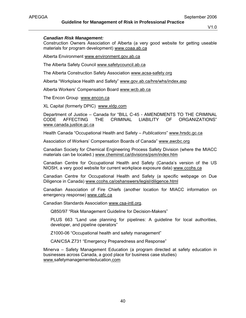#### *Canadian Risk Management:*

Construction Owners Association of Alberta (a very good website for getting useable materials for program development) www.coaa.ab.ca

Alberta Environment www.environment.gov.ab.ca

The Alberta Safety Council www.safetycouncil.ab.ca

The Alberta Construction Safety Association www.acsa-safety.org

Alberta "Workplace Health and Safety" www.gov.ab.ca/hre/whs/index.asp

Alberta Workers' Compensation Board www.wcb.ab.ca

The Encon Group www.encon.ca

XL Capital (formerly DPIC) www.xldp.com

Department of Justice – Canada for "BILL C-45 - AMENDMENTS TO THE CRIMINAL CODE AFFECTING THE CRIMINAL LIABILITY OF ORGANIZATIONS" www.canada.justice.gc.ca

Health Canada "Occupational Health and Safety – *Publications*" www.hrsdc.gc.ca

Association of Workers' Compensation Boards of Canada" www.awcbc.org

Canadian Society for Chemical Engineering Process Safety Division (where the MIACC materials can be located.) www.cheminst.ca/divisions/psm/index.htm

Canadian Centre for Occupational Health and Safety (Canada's version of the US NIOSH, a very good website for current workplace exposure data) www.ccohs.ca

Canadian Centre for Occupational Health and Safety (a specific webpage on Due Diligence in Canada) www.ccohs.ca/oshanswers/legisl/diligence.html

Canadian Association of Fire Chiefs (another location for MIACC information on emergency response) www.cafc.ca

Canadian Standards Association www.csa-intl.org.

Q850/97 "Risk Management Guideline for Decision-Makers"

PLUS 663 "Land use planning for pipelines: A guideline for local authorities, developer, and pipeline operators"

Z1000-06 "Occupational health and safety management"

CAN/CSA Z731 "Emergency Preparedness and Response"

Minerva – Safety Management Education (a program directed at safety education in businesses across Canada, a good place for business case studies) www.safetymanagementeducation.com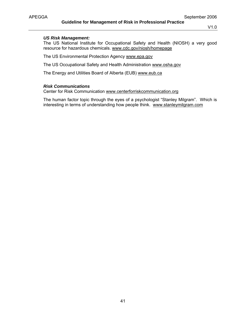# *US Risk Management:*

The US National Institute for Occupational Safety and Health (NIOSH) a very good resource for hazardous chemicals. www.cdc.gov/niosh/homepage

The US Environmental Protection Agency www.epa.gov

The US Occupational Safety and Health Administration www.osha.gov

The Energy and Utilities Board of Alberta (EUB) www.eub.ca

# *Risk Communications*

Center for Risk Communication www.centerforriskcommunication.org

The human factor topic through the eyes of a psychologist "Stanley Milgram". Which is interesting in terms of understanding how people think. www.stanleymilgram.com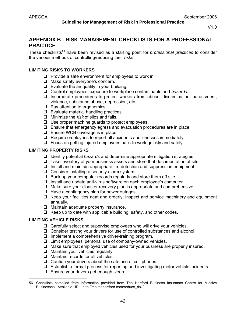# **APPENDIX B - RISK MANAGEMENT CHECKLISTS FOR A PROFESSIONAL PRACTICE**

These checklists<sup>56</sup> have been revised as a starting point for *professional practices* to consider the various methods of controlling/reducing their *risks*.

## **LIMITING RISKS TO WORKERS**

- $\Box$  Provide a safe environment for employees to work in.
- □ Make safety everyone's concern.
- $\Box$  Evaluate the air quality in your building.
- Control employees' exposure to workplace contaminants and *hazard*s.
- $\Box$  Incorporate procedures to protect workers from abuse, discrimination, harassment, violence, substance abuse, depression, etc.
- $\Box$  Pay attention to ergonomics.
- $\Box$  Evaluate material handling practices.
- Minimize the *risk* of slips and falls.
- $\Box$  Use proper machine guards to protect employees.
- $\Box$  Ensure that emergency egress and evacuation procedures are in place.
- $\Box$  Ensure WCB coverage is in place.
- $\Box$  Require employees to report all accidents and illnesses immediately.
- $\Box$  Focus on getting injured employees back to work quickly and safely.

## **LIMITING PROPERTY RISKS**

- Identify potential *hazard*s and determine appropriate mitigation strategies.
- $\Box$  Take inventory of your business assets and store that documentation offsite.
- $\Box$  Install and maintain appropriate fire detection and suppression equipment.
- $\Box$  Consider installing a security alarm system.
- $\Box$  Back up your computer records regularly and store them off site.
- $\Box$  Install and update anti-virus software on each employee's computer.
- $\Box$  Make sure your disaster recovery plan is appropriate and comprehensive.
- $\Box$  Have a contingency plan for power outages.
- $\Box$  Keep your facilities neat and orderly; inspect and service machinery and equipment annually.
- $\Box$  Maintain adequate property insurance.
- $\Box$  Keep up to date with applicable building, safety, and other codes.

# **LIMITING VEHICLE RISKS**

-

- $\Box$  Carefully select and supervise employees who will drive your vehicles.
- □ Consider testing your drivers for use of controlled substances and alcohol.
- $\Box$  Implement a comprehensive driver-training program.
- $\Box$  Limit employees' personal use of company-owned vehicles.
- $\Box$  Make sure that employed vehicles used for your business are properly insured.
- $\Box$  Maintain your vehicles regularly.
- $\Box$  Maintain records for all vehicles.
- $\Box$  Caution your drivers about the safe use of cell phones.
- $\Box$  Establish a formal process for reporting and investigating motor vehicle incidents.
- $\Box$  Ensure your drivers get enough sleep.

<sup>56</sup> Checklists compiled from information provided from The Hartford Business Insurance Centre for Midsize Businesses. Available URL: http://mb.thehartford.com/reduce\_risk/